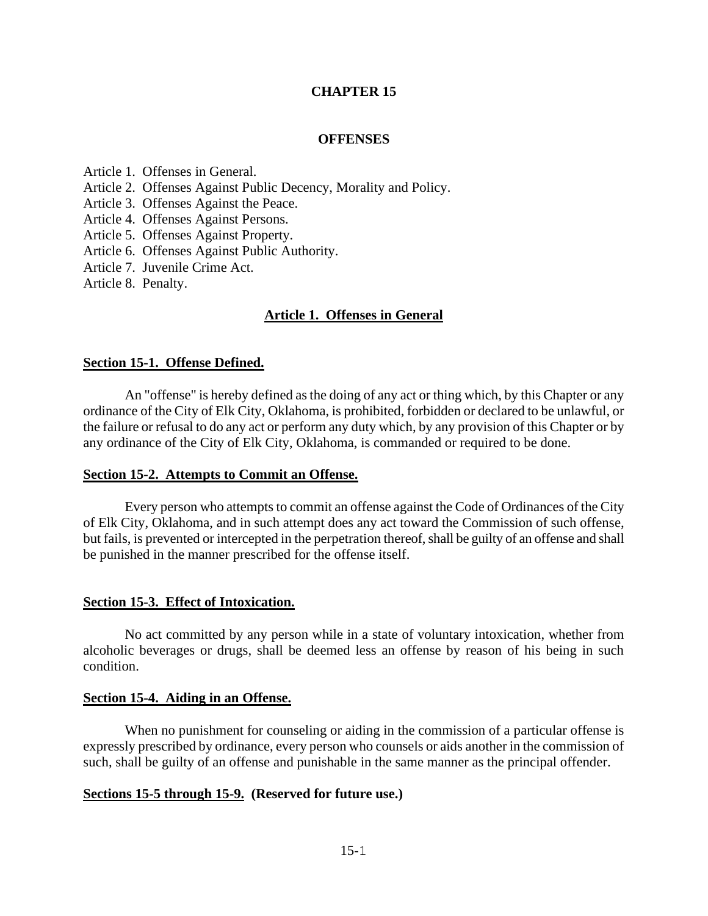#### **CHAPTER 15**

#### **OFFENSES**

Article 1. Offenses in General.

- Article 2. Offenses Against Public Decency, Morality and Policy.
- Article 3. Offenses Against the Peace.
- Article 4. Offenses Against Persons.
- Article 5. Offenses Against Property.
- Article 6. Offenses Against Public Authority.
- Article 7. Juvenile Crime Act.

Article 8. Penalty.

#### **Article 1. Offenses in General**

#### **Section 15-1. Offense Defined.**

An "offense" is hereby defined as the doing of any act or thing which, by this Chapter or any ordinance of the City of Elk City, Oklahoma, is prohibited, forbidden or declared to be unlawful, or the failure or refusal to do any act or perform any duty which, by any provision of this Chapter or by any ordinance of the City of Elk City, Oklahoma, is commanded or required to be done.

#### **Section 15-2. Attempts to Commit an Offense.**

Every person who attempts to commit an offense against the Code of Ordinances of the City of Elk City, Oklahoma, and in such attempt does any act toward the Commission of such offense, but fails, is prevented or intercepted in the perpetration thereof, shall be guilty of an offense and shall be punished in the manner prescribed for the offense itself.

#### **Section 15-3. Effect of Intoxication.**

No act committed by any person while in a state of voluntary intoxication, whether from alcoholic beverages or drugs, shall be deemed less an offense by reason of his being in such condition.

#### **Section 15-4. Aiding in an Offense.**

When no punishment for counseling or aiding in the commission of a particular offense is expressly prescribed by ordinance, every person who counsels or aids another in the commission of such, shall be guilty of an offense and punishable in the same manner as the principal offender.

#### **Sections 15-5 through 15-9. (Reserved for future use.)**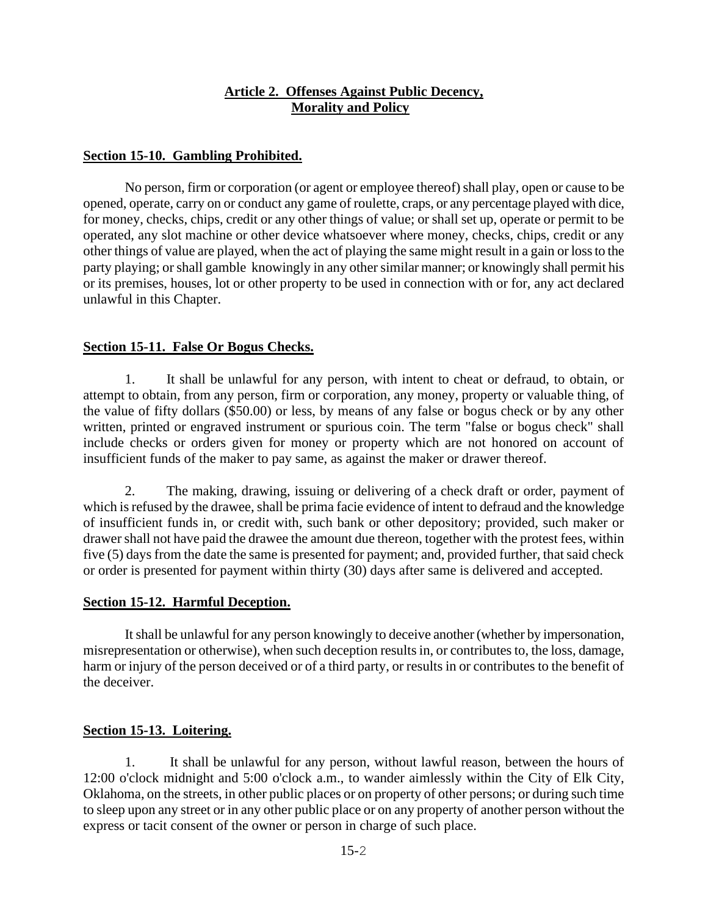### **Article 2. Offenses Against Public Decency, Morality and Policy**

#### **Section 15-10. Gambling Prohibited.**

No person, firm or corporation (or agent or employee thereof) shall play, open or cause to be opened, operate, carry on or conduct any game of roulette, craps, or any percentage played with dice, for money, checks, chips, credit or any other things of value; or shall set up, operate or permit to be operated, any slot machine or other device whatsoever where money, checks, chips, credit or any other things of value are played, when the act of playing the same might result in a gain or loss to the party playing; or shall gamble knowingly in any other similar manner; or knowingly shall permit his or its premises, houses, lot or other property to be used in connection with or for, any act declared unlawful in this Chapter.

#### **Section 15-11. False Or Bogus Checks.**

1. It shall be unlawful for any person, with intent to cheat or defraud, to obtain, or attempt to obtain, from any person, firm or corporation, any money, property or valuable thing, of the value of fifty dollars (\$50.00) or less, by means of any false or bogus check or by any other written, printed or engraved instrument or spurious coin. The term "false or bogus check" shall include checks or orders given for money or property which are not honored on account of insufficient funds of the maker to pay same, as against the maker or drawer thereof.

2. The making, drawing, issuing or delivering of a check draft or order, payment of which is refused by the drawee, shall be prima facie evidence of intent to defraud and the knowledge of insufficient funds in, or credit with, such bank or other depository; provided, such maker or drawer shall not have paid the drawee the amount due thereon, together with the protest fees, within five (5) days from the date the same is presented for payment; and, provided further, that said check or order is presented for payment within thirty (30) days after same is delivered and accepted.

#### **Section 15-12. Harmful Deception.**

It shall be unlawful for any person knowingly to deceive another (whether by impersonation, misrepresentation or otherwise), when such deception results in, or contributes to, the loss, damage, harm or injury of the person deceived or of a third party, or results in or contributes to the benefit of the deceiver.

#### **Section 15-13. Loitering.**

1. It shall be unlawful for any person, without lawful reason, between the hours of 12:00 o'clock midnight and 5:00 o'clock a.m., to wander aimlessly within the City of Elk City, Oklahoma, on the streets, in other public places or on property of other persons; or during such time to sleep upon any street or in any other public place or on any property of another person without the express or tacit consent of the owner or person in charge of such place.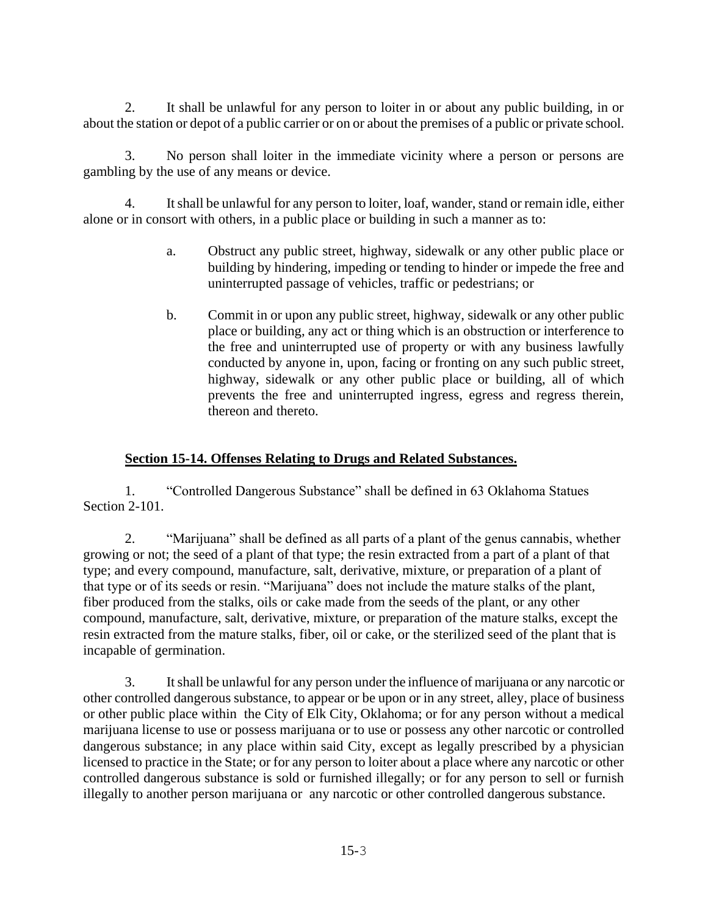2. It shall be unlawful for any person to loiter in or about any public building, in or about the station or depot of a public carrier or on or about the premises of a public or private school.

3. No person shall loiter in the immediate vicinity where a person or persons are gambling by the use of any means or device.

4. It shall be unlawful for any person to loiter, loaf, wander, stand or remain idle, either alone or in consort with others, in a public place or building in such a manner as to:

- a. Obstruct any public street, highway, sidewalk or any other public place or building by hindering, impeding or tending to hinder or impede the free and uninterrupted passage of vehicles, traffic or pedestrians; or
- b. Commit in or upon any public street, highway, sidewalk or any other public place or building, any act or thing which is an obstruction or interference to the free and uninterrupted use of property or with any business lawfully conducted by anyone in, upon, facing or fronting on any such public street, highway, sidewalk or any other public place or building, all of which prevents the free and uninterrupted ingress, egress and regress therein, thereon and thereto.

## **Section 15-14. Offenses Relating to Drugs and Related Substances.**

1. "Controlled Dangerous Substance" shall be defined in 63 Oklahoma Statues Section 2-101.

2. "Marijuana" shall be defined as all parts of a plant of the genus cannabis, whether growing or not; the seed of a plant of that type; the resin extracted from a part of a plant of that type; and every compound, manufacture, salt, derivative, mixture, or preparation of a plant of that type or of its seeds or resin. "Marijuana" does not include the mature stalks of the plant, fiber produced from the stalks, oils or cake made from the seeds of the plant, or any other compound, manufacture, salt, derivative, mixture, or preparation of the mature stalks, except the resin extracted from the mature stalks, fiber, oil or cake, or the sterilized seed of the plant that is incapable of germination.

3. It shall be unlawful for any person under the influence of marijuana or any narcotic or other controlled dangerous substance, to appear or be upon or in any street, alley, place of business or other public place within the City of Elk City, Oklahoma; or for any person without a medical marijuana license to use or possess marijuana or to use or possess any other narcotic or controlled dangerous substance; in any place within said City, except as legally prescribed by a physician licensed to practice in the State; or for any person to loiter about a place where any narcotic or other controlled dangerous substance is sold or furnished illegally; or for any person to sell or furnish illegally to another person marijuana or any narcotic or other controlled dangerous substance.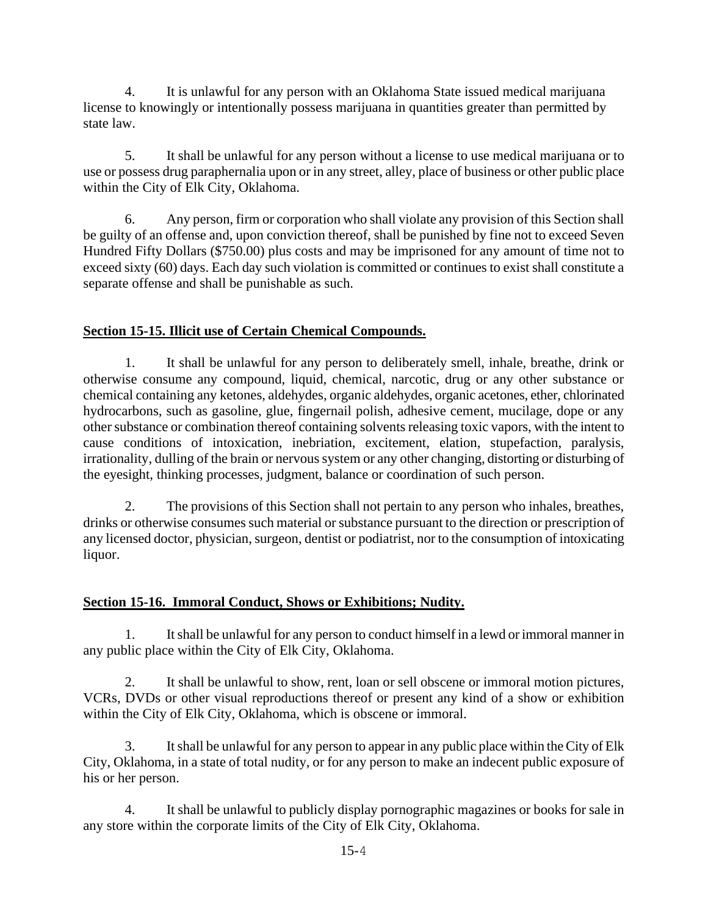4. It is unlawful for any person with an Oklahoma State issued medical marijuana license to knowingly or intentionally possess marijuana in quantities greater than permitted by state law.

5. It shall be unlawful for any person without a license to use medical marijuana or to use or possess drug paraphernalia upon or in any street, alley, place of business or other public place within the City of Elk City, Oklahoma.

6. Any person, firm or corporation who shall violate any provision of this Section shall be guilty of an offense and, upon conviction thereof, shall be punished by fine not to exceed Seven Hundred Fifty Dollars (\$750.00) plus costs and may be imprisoned for any amount of time not to exceed sixty (60) days. Each day such violation is committed or continues to exist shall constitute a separate offense and shall be punishable as such.

## **Section 15-15. Illicit use of Certain Chemical Compounds.**

1. It shall be unlawful for any person to deliberately smell, inhale, breathe, drink or otherwise consume any compound, liquid, chemical, narcotic, drug or any other substance or chemical containing any ketones, aldehydes, organic aldehydes, organic acetones, ether, chlorinated hydrocarbons, such as gasoline, glue, fingernail polish, adhesive cement, mucilage, dope or any other substance or combination thereof containing solvents releasing toxic vapors, with the intent to cause conditions of intoxication, inebriation, excitement, elation, stupefaction, paralysis, irrationality, dulling of the brain or nervous system or any other changing, distorting or disturbing of the eyesight, thinking processes, judgment, balance or coordination of such person.

2. The provisions of this Section shall not pertain to any person who inhales, breathes, drinks or otherwise consumes such material or substance pursuant to the direction or prescription of any licensed doctor, physician, surgeon, dentist or podiatrist, nor to the consumption of intoxicating liquor.

### **Section 15-16. Immoral Conduct, Shows or Exhibitions; Nudity.**

1. It shall be unlawful for any person to conduct himself in a lewd or immoral manner in any public place within the City of Elk City, Oklahoma.

2. It shall be unlawful to show, rent, loan or sell obscene or immoral motion pictures, VCRs, DVDs or other visual reproductions thereof or present any kind of a show or exhibition within the City of Elk City, Oklahoma, which is obscene or immoral.

3. It shall be unlawful for any person to appear in any public place within the City of Elk City, Oklahoma, in a state of total nudity, or for any person to make an indecent public exposure of his or her person.

4. It shall be unlawful to publicly display pornographic magazines or books for sale in any store within the corporate limits of the City of Elk City, Oklahoma.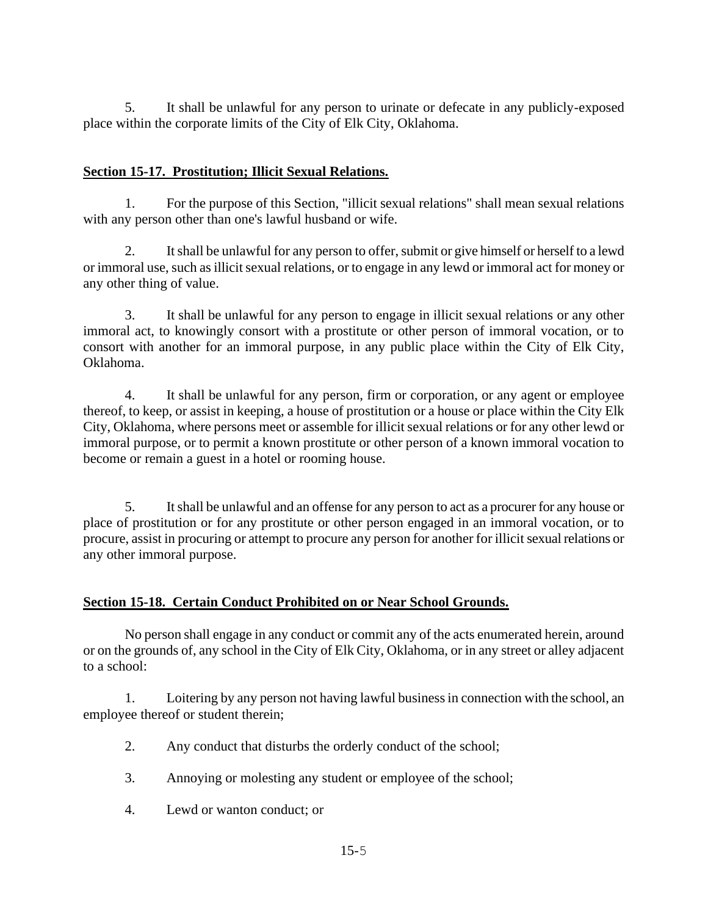5. It shall be unlawful for any person to urinate or defecate in any publicly-exposed place within the corporate limits of the City of Elk City, Oklahoma.

## **Section 15-17. Prostitution; Illicit Sexual Relations.**

1. For the purpose of this Section, "illicit sexual relations" shall mean sexual relations with any person other than one's lawful husband or wife.

2. It shall be unlawful for any person to offer, submit or give himself or herself to a lewd or immoral use, such as illicit sexual relations, or to engage in any lewd or immoral act for money or any other thing of value.

3. It shall be unlawful for any person to engage in illicit sexual relations or any other immoral act, to knowingly consort with a prostitute or other person of immoral vocation, or to consort with another for an immoral purpose, in any public place within the City of Elk City, Oklahoma.

4. It shall be unlawful for any person, firm or corporation, or any agent or employee thereof, to keep, or assist in keeping, a house of prostitution or a house or place within the City Elk City, Oklahoma, where persons meet or assemble for illicit sexual relations or for any other lewd or immoral purpose, or to permit a known prostitute or other person of a known immoral vocation to become or remain a guest in a hotel or rooming house.

5. It shall be unlawful and an offense for any person to act as a procurer for any house or place of prostitution or for any prostitute or other person engaged in an immoral vocation, or to procure, assist in procuring or attempt to procure any person for another for illicit sexual relations or any other immoral purpose.

### **Section 15-18. Certain Conduct Prohibited on or Near School Grounds.**

No person shall engage in any conduct or commit any of the acts enumerated herein, around or on the grounds of, any school in the City of Elk City, Oklahoma, or in any street or alley adjacent to a school:

1. Loitering by any person not having lawful business in connection with the school, an employee thereof or student therein;

- 2. Any conduct that disturbs the orderly conduct of the school;
- 3. Annoying or molesting any student or employee of the school;
- 4. Lewd or wanton conduct; or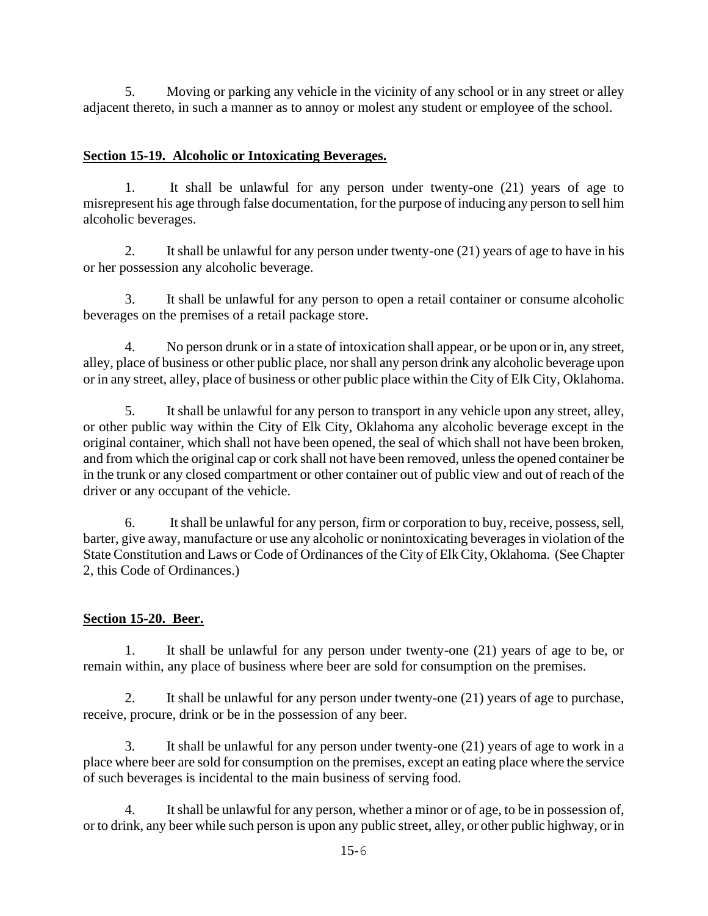5. Moving or parking any vehicle in the vicinity of any school or in any street or alley adjacent thereto, in such a manner as to annoy or molest any student or employee of the school.

## **Section 15-19. Alcoholic or Intoxicating Beverages.**

1. It shall be unlawful for any person under twenty-one (21) years of age to misrepresent his age through false documentation, for the purpose of inducing any person to sell him alcoholic beverages.

2. It shall be unlawful for any person under twenty-one (21) years of age to have in his or her possession any alcoholic beverage.

3. It shall be unlawful for any person to open a retail container or consume alcoholic beverages on the premises of a retail package store.

4. No person drunk or in a state of intoxication shall appear, or be upon or in, any street, alley, place of business or other public place, nor shall any person drink any alcoholic beverage upon or in any street, alley, place of business or other public place within the City of Elk City, Oklahoma.

5. It shall be unlawful for any person to transport in any vehicle upon any street, alley, or other public way within the City of Elk City, Oklahoma any alcoholic beverage except in the original container, which shall not have been opened, the seal of which shall not have been broken, and from which the original cap or cork shall not have been removed, unless the opened container be in the trunk or any closed compartment or other container out of public view and out of reach of the driver or any occupant of the vehicle.

6. It shall be unlawful for any person, firm or corporation to buy, receive, possess, sell, barter, give away, manufacture or use any alcoholic or nonintoxicating beverages in violation of the State Constitution and Laws or Code of Ordinances of the City of Elk City, Oklahoma. (See Chapter 2, this Code of Ordinances.)

## **Section 15-20. Beer.**

1. It shall be unlawful for any person under twenty-one (21) years of age to be, or remain within, any place of business where beer are sold for consumption on the premises.

2. It shall be unlawful for any person under twenty-one (21) years of age to purchase, receive, procure, drink or be in the possession of any beer.

3. It shall be unlawful for any person under twenty-one (21) years of age to work in a place where beer are sold for consumption on the premises, except an eating place where the service of such beverages is incidental to the main business of serving food.

4. It shall be unlawful for any person, whether a minor or of age, to be in possession of, or to drink, any beer while such person is upon any public street, alley, or other public highway, or in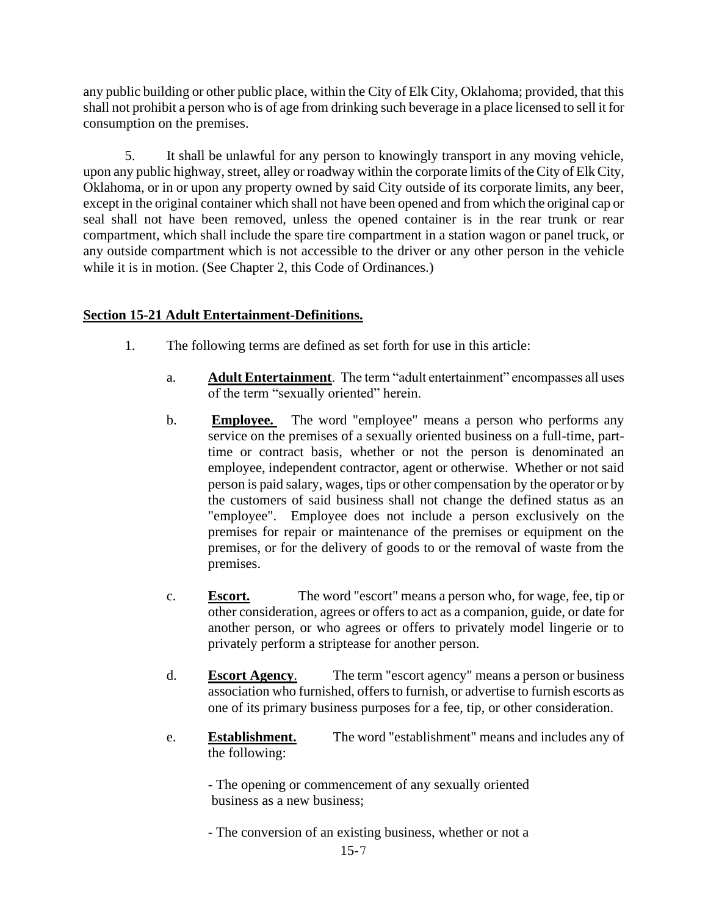any public building or other public place, within the City of Elk City, Oklahoma; provided, that this shall not prohibit a person who is of age from drinking such beverage in a place licensed to sell it for consumption on the premises.

5. It shall be unlawful for any person to knowingly transport in any moving vehicle, upon any public highway, street, alley or roadway within the corporate limits of the City of Elk City, Oklahoma, or in or upon any property owned by said City outside of its corporate limits, any beer, except in the original container which shall not have been opened and from which the original cap or seal shall not have been removed, unless the opened container is in the rear trunk or rear compartment, which shall include the spare tire compartment in a station wagon or panel truck, or any outside compartment which is not accessible to the driver or any other person in the vehicle while it is in motion. (See Chapter 2, this Code of Ordinances.)

### **Section 15-21 Adult Entertainment-Definitions.**

- 1. The following terms are defined as set forth for use in this article:
	- a. **Adult Entertainment**. The term "adult entertainment" encompasses all uses of the term "sexually oriented" herein.
	- b. **Employee.** The word "employee" means a person who performs any service on the premises of a sexually oriented business on a full-time, parttime or contract basis, whether or not the person is denominated an employee, independent contractor, agent or otherwise. Whether or not said person is paid salary, wages, tips or other compensation by the operator or by the customers of said business shall not change the defined status as an "employee". Employee does not include a person exclusively on the premises for repair or maintenance of the premises or equipment on the premises, or for the delivery of goods to or the removal of waste from the premises.
	- c. **Escort.** The word "escort" means a person who, for wage, fee, tip or other consideration, agrees or offers to act as a companion, guide, or date for another person, or who agrees or offers to privately model lingerie or to privately perform a striptease for another person.
	- d. **Escort Agency**. The term "escort agency" means a person or business association who furnished, offers to furnish, or advertise to furnish escorts as one of its primary business purposes for a fee, tip, or other consideration.
	- e. **Establishment.** The word "establishment" means and includes any of the following:

- The opening or commencement of any sexually oriented business as a new business;

- The conversion of an existing business, whether or not a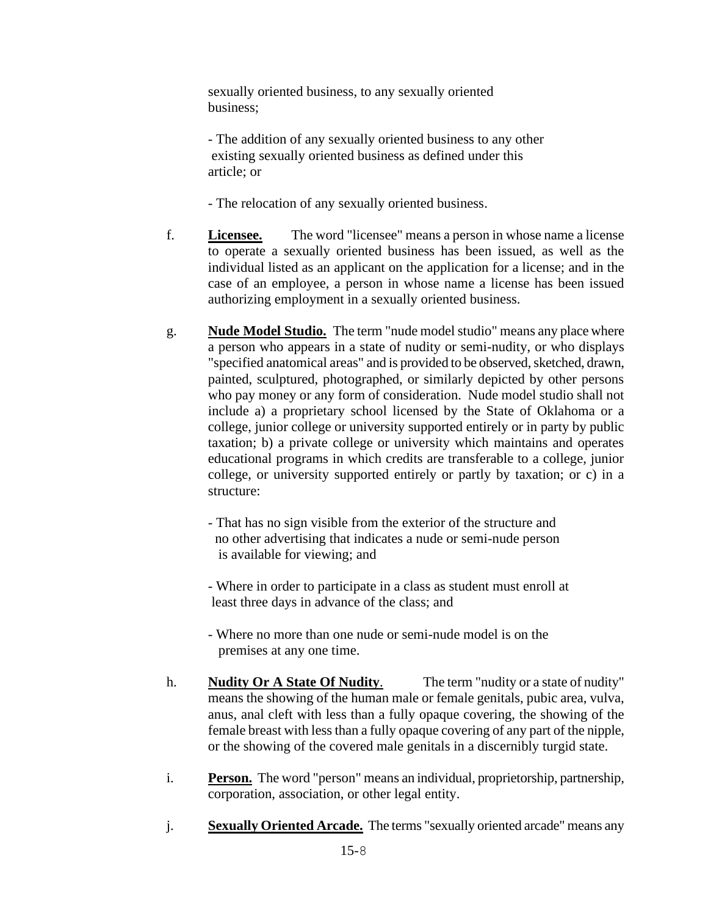sexually oriented business, to any sexually oriented business;

- The addition of any sexually oriented business to any other existing sexually oriented business as defined under this article; or

- The relocation of any sexually oriented business.

- f. **Licensee.** The word "licensee" means a person in whose name a license to operate a sexually oriented business has been issued, as well as the individual listed as an applicant on the application for a license; and in the case of an employee, a person in whose name a license has been issued authorizing employment in a sexually oriented business.
- g. **Nude Model Studio.** The term "nude model studio" means any place where a person who appears in a state of nudity or semi-nudity, or who displays "specified anatomical areas" and is provided to be observed, sketched, drawn, painted, sculptured, photographed, or similarly depicted by other persons who pay money or any form of consideration. Nude model studio shall not include a) a proprietary school licensed by the State of Oklahoma or a college, junior college or university supported entirely or in party by public taxation; b) a private college or university which maintains and operates educational programs in which credits are transferable to a college, junior college, or university supported entirely or partly by taxation; or c) in a structure:

- That has no sign visible from the exterior of the structure and no other advertising that indicates a nude or semi-nude person is available for viewing; and

- Where in order to participate in a class as student must enroll at least three days in advance of the class; and

- Where no more than one nude or semi-nude model is on the premises at any one time.
- h. **Nudity Or A State Of Nudity**. The term "nudity or a state of nudity" means the showing of the human male or female genitals, pubic area, vulva, anus, anal cleft with less than a fully opaque covering, the showing of the female breast with less than a fully opaque covering of any part of the nipple, or the showing of the covered male genitals in a discernibly turgid state.
- i. **Person.** The word "person" means an individual, proprietorship, partnership, corporation, association, or other legal entity.
- j. **Sexually Oriented Arcade.** The terms "sexually oriented arcade" means any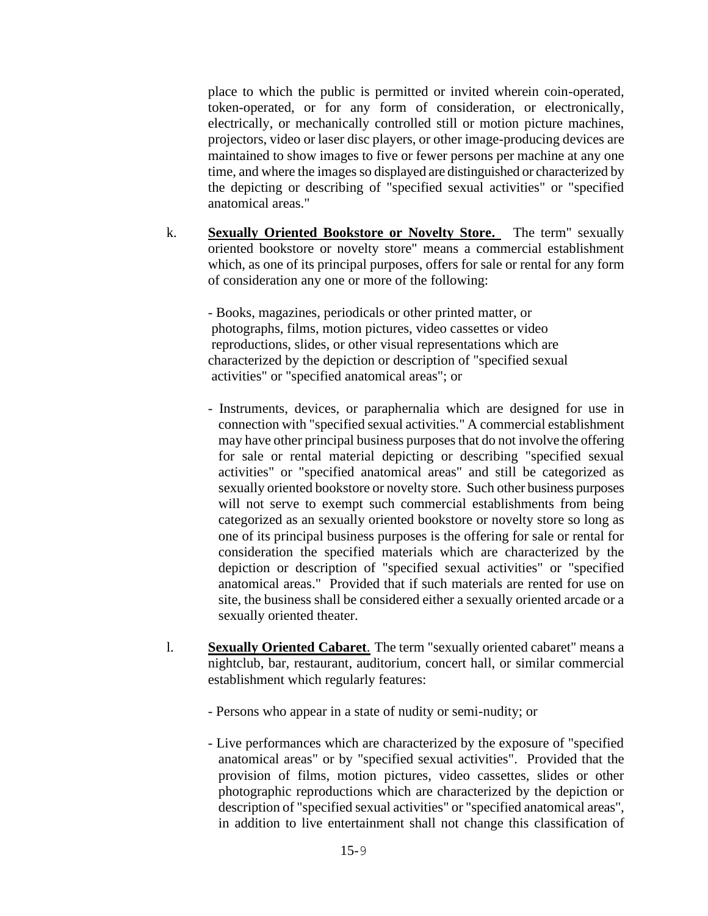place to which the public is permitted or invited wherein coin-operated, token-operated, or for any form of consideration, or electronically, electrically, or mechanically controlled still or motion picture machines, projectors, video or laser disc players, or other image-producing devices are maintained to show images to five or fewer persons per machine at any one time, and where the images so displayed are distinguished or characterized by the depicting or describing of "specified sexual activities" or "specified anatomical areas."

k. **Sexually Oriented Bookstore or Novelty Store.** The term" sexually oriented bookstore or novelty store" means a commercial establishment which, as one of its principal purposes, offers for sale or rental for any form of consideration any one or more of the following:

- Books, magazines, periodicals or other printed matter, or photographs, films, motion pictures, video cassettes or video reproductions, slides, or other visual representations which are characterized by the depiction or description of "specified sexual activities" or "specified anatomical areas"; or

- Instruments, devices, or paraphernalia which are designed for use in connection with "specified sexual activities." A commercial establishment may have other principal business purposes that do not involve the offering for sale or rental material depicting or describing "specified sexual activities" or "specified anatomical areas" and still be categorized as sexually oriented bookstore or novelty store. Such other business purposes will not serve to exempt such commercial establishments from being categorized as an sexually oriented bookstore or novelty store so long as one of its principal business purposes is the offering for sale or rental for consideration the specified materials which are characterized by the depiction or description of "specified sexual activities" or "specified anatomical areas." Provided that if such materials are rented for use on site, the business shall be considered either a sexually oriented arcade or a sexually oriented theater.
- l. **Sexually Oriented Cabaret**. The term "sexually oriented cabaret" means a nightclub, bar, restaurant, auditorium, concert hall, or similar commercial establishment which regularly features:
	- Persons who appear in a state of nudity or semi-nudity; or
	- Live performances which are characterized by the exposure of "specified anatomical areas" or by "specified sexual activities". Provided that the provision of films, motion pictures, video cassettes, slides or other photographic reproductions which are characterized by the depiction or description of "specified sexual activities" or "specified anatomical areas", in addition to live entertainment shall not change this classification of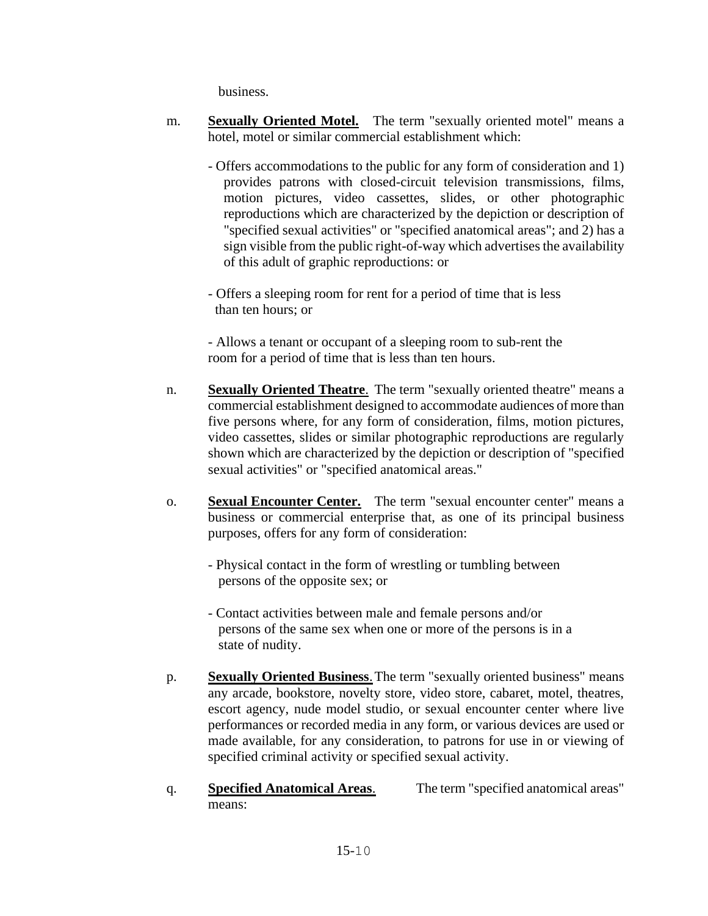business.

- m. **Sexually Oriented Motel.** The term "sexually oriented motel" means a hotel, motel or similar commercial establishment which:
	- Offers accommodations to the public for any form of consideration and 1) provides patrons with closed-circuit television transmissions, films, motion pictures, video cassettes, slides, or other photographic reproductions which are characterized by the depiction or description of "specified sexual activities" or "specified anatomical areas"; and 2) has a sign visible from the public right-of-way which advertises the availability of this adult of graphic reproductions: or

- Offers a sleeping room for rent for a period of time that is less than ten hours; or

- Allows a tenant or occupant of a sleeping room to sub-rent the room for a period of time that is less than ten hours.

- n. **Sexually Oriented Theatre**. The term "sexually oriented theatre" means a commercial establishment designed to accommodate audiences of more than five persons where, for any form of consideration, films, motion pictures, video cassettes, slides or similar photographic reproductions are regularly shown which are characterized by the depiction or description of "specified sexual activities" or "specified anatomical areas."
- o. **Sexual Encounter Center.** The term "sexual encounter center" means a business or commercial enterprise that, as one of its principal business purposes, offers for any form of consideration:
	- Physical contact in the form of wrestling or tumbling between persons of the opposite sex; or
	- Contact activities between male and female persons and/or persons of the same sex when one or more of the persons is in a state of nudity.
- p. **Sexually Oriented Business**.The term "sexually oriented business" means any arcade, bookstore, novelty store, video store, cabaret, motel, theatres, escort agency, nude model studio, or sexual encounter center where live performances or recorded media in any form, or various devices are used or made available, for any consideration, to patrons for use in or viewing of specified criminal activity or specified sexual activity.
- q. **Specified Anatomical Areas**. The term "specified anatomical areas" means: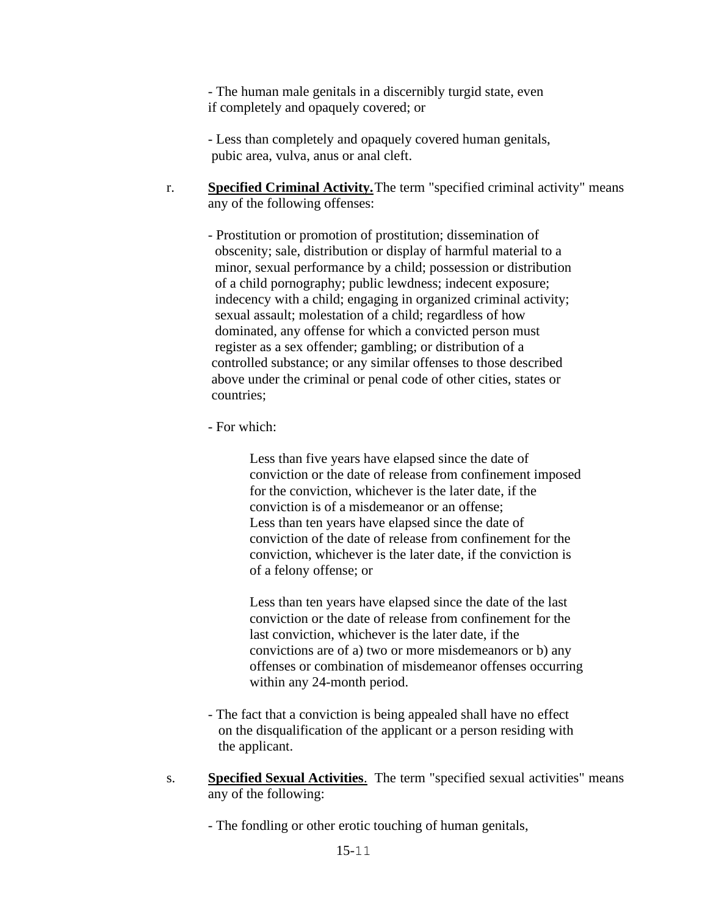- The human male genitals in a discernibly turgid state, even if completely and opaquely covered; or

- Less than completely and opaquely covered human genitals, pubic area, vulva, anus or anal cleft.

r. **Specified Criminal Activity.**The term "specified criminal activity" means any of the following offenses:

- Prostitution or promotion of prostitution; dissemination of obscenity; sale, distribution or display of harmful material to a minor, sexual performance by a child; possession or distribution of a child pornography; public lewdness; indecent exposure; indecency with a child; engaging in organized criminal activity; sexual assault; molestation of a child; regardless of how dominated, any offense for which a convicted person must register as a sex offender; gambling; or distribution of a controlled substance; or any similar offenses to those described above under the criminal or penal code of other cities, states or countries;

- For which:

Less than five years have elapsed since the date of conviction or the date of release from confinement imposed for the conviction, whichever is the later date, if the conviction is of a misdemeanor or an offense; Less than ten years have elapsed since the date of conviction of the date of release from confinement for the conviction, whichever is the later date, if the conviction is of a felony offense; or

Less than ten years have elapsed since the date of the last conviction or the date of release from confinement for the last conviction, whichever is the later date, if the convictions are of a) two or more misdemeanors or b) any offenses or combination of misdemeanor offenses occurring within any 24-month period.

- The fact that a conviction is being appealed shall have no effect on the disqualification of the applicant or a person residing with the applicant.
- s. **Specified Sexual Activities**. The term "specified sexual activities" means any of the following:
	- The fondling or other erotic touching of human genitals,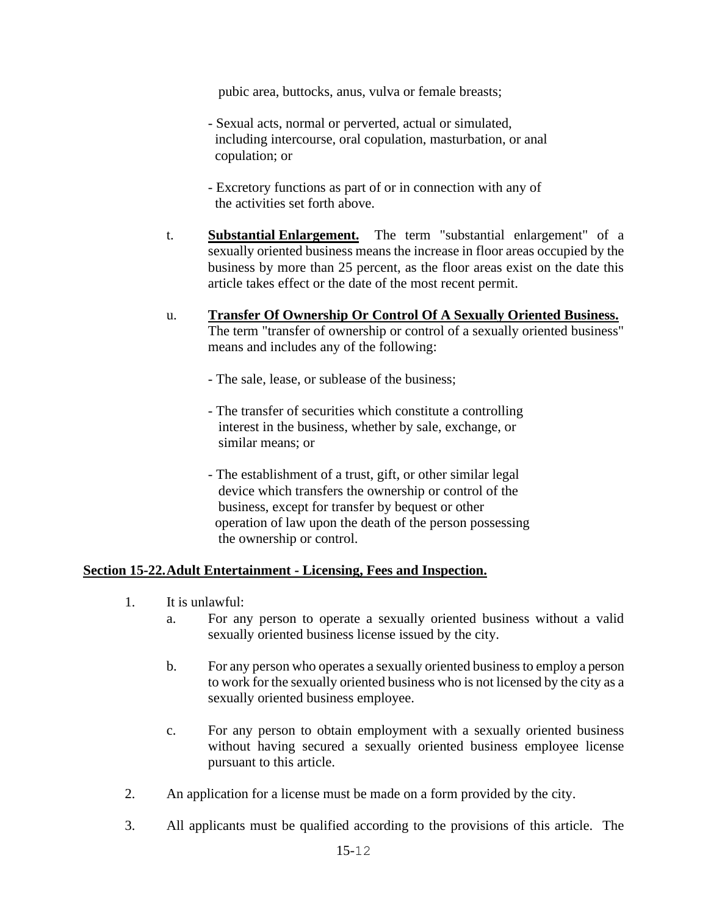pubic area, buttocks, anus, vulva or female breasts;

- Sexual acts, normal or perverted, actual or simulated, including intercourse, oral copulation, masturbation, or anal copulation; or
- Excretory functions as part of or in connection with any of the activities set forth above.
- t. **Substantial Enlargement.** The term "substantial enlargement" of a sexually oriented business means the increase in floor areas occupied by the business by more than 25 percent, as the floor areas exist on the date this article takes effect or the date of the most recent permit.
- u. **Transfer Of Ownership Or Control Of A Sexually Oriented Business.** The term "transfer of ownership or control of a sexually oriented business" means and includes any of the following:
	- The sale, lease, or sublease of the business;
	- The transfer of securities which constitute a controlling interest in the business, whether by sale, exchange, or similar means; or
	- The establishment of a trust, gift, or other similar legal device which transfers the ownership or control of the business, except for transfer by bequest or other operation of law upon the death of the person possessing the ownership or control.

#### **Section 15-22.Adult Entertainment - Licensing, Fees and Inspection.**

- 1. It is unlawful:
	- a. For any person to operate a sexually oriented business without a valid sexually oriented business license issued by the city.
	- b. For any person who operates a sexually oriented business to employ a person to work for the sexually oriented business who is not licensed by the city as a sexually oriented business employee.
	- c. For any person to obtain employment with a sexually oriented business without having secured a sexually oriented business employee license pursuant to this article.
- 2. An application for a license must be made on a form provided by the city.
- 3. All applicants must be qualified according to the provisions of this article. The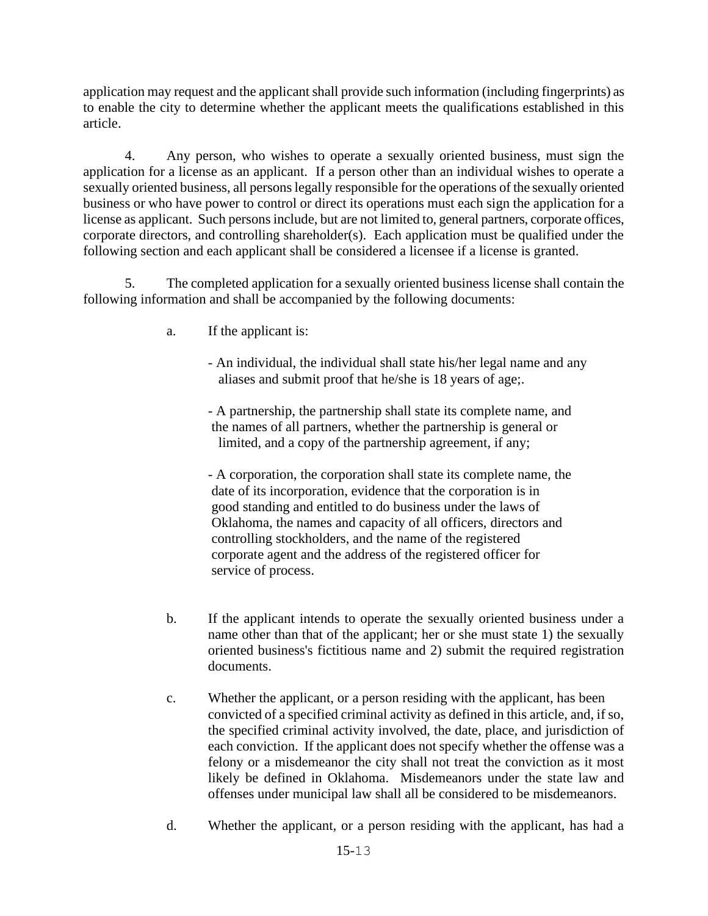application may request and the applicant shall provide such information (including fingerprints) as to enable the city to determine whether the applicant meets the qualifications established in this article.

4. Any person, who wishes to operate a sexually oriented business, must sign the application for a license as an applicant. If a person other than an individual wishes to operate a sexually oriented business, all persons legally responsible for the operations of the sexually oriented business or who have power to control or direct its operations must each sign the application for a license as applicant. Such persons include, but are not limited to, general partners, corporate offices, corporate directors, and controlling shareholder(s). Each application must be qualified under the following section and each applicant shall be considered a licensee if a license is granted.

5. The completed application for a sexually oriented business license shall contain the following information and shall be accompanied by the following documents:

- a. If the applicant is:
	- An individual, the individual shall state his/her legal name and any aliases and submit proof that he/she is 18 years of age;.

- A partnership, the partnership shall state its complete name, and the names of all partners, whether the partnership is general or limited, and a copy of the partnership agreement, if any;

- A corporation, the corporation shall state its complete name, the date of its incorporation, evidence that the corporation is in good standing and entitled to do business under the laws of Oklahoma, the names and capacity of all officers, directors and controlling stockholders, and the name of the registered corporate agent and the address of the registered officer for service of process.

- b. If the applicant intends to operate the sexually oriented business under a name other than that of the applicant; her or she must state 1) the sexually oriented business's fictitious name and 2) submit the required registration documents.
- c. Whether the applicant, or a person residing with the applicant, has been convicted of a specified criminal activity as defined in this article, and, if so, the specified criminal activity involved, the date, place, and jurisdiction of each conviction. If the applicant does not specify whether the offense was a felony or a misdemeanor the city shall not treat the conviction as it most likely be defined in Oklahoma. Misdemeanors under the state law and offenses under municipal law shall all be considered to be misdemeanors.
- d. Whether the applicant, or a person residing with the applicant, has had a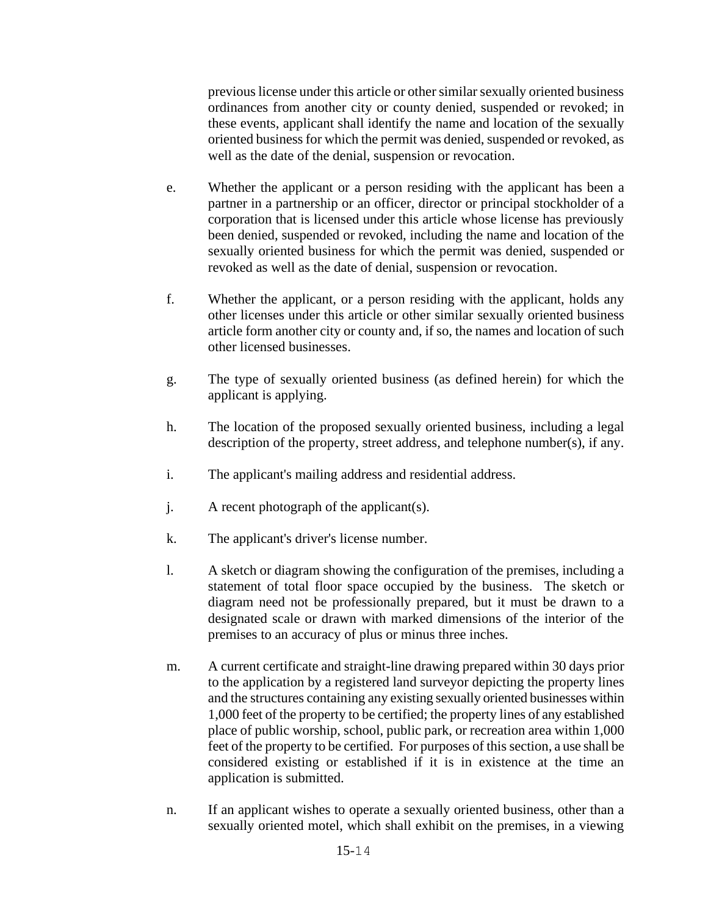previous license under this article or other similar sexually oriented business ordinances from another city or county denied, suspended or revoked; in these events, applicant shall identify the name and location of the sexually oriented business for which the permit was denied, suspended or revoked, as well as the date of the denial, suspension or revocation.

- e. Whether the applicant or a person residing with the applicant has been a partner in a partnership or an officer, director or principal stockholder of a corporation that is licensed under this article whose license has previously been denied, suspended or revoked, including the name and location of the sexually oriented business for which the permit was denied, suspended or revoked as well as the date of denial, suspension or revocation.
- f. Whether the applicant, or a person residing with the applicant, holds any other licenses under this article or other similar sexually oriented business article form another city or county and, if so, the names and location of such other licensed businesses.
- g. The type of sexually oriented business (as defined herein) for which the applicant is applying.
- h. The location of the proposed sexually oriented business, including a legal description of the property, street address, and telephone number(s), if any.
- i. The applicant's mailing address and residential address.
- j. A recent photograph of the applicant(s).
- k. The applicant's driver's license number.
- l. A sketch or diagram showing the configuration of the premises, including a statement of total floor space occupied by the business. The sketch or diagram need not be professionally prepared, but it must be drawn to a designated scale or drawn with marked dimensions of the interior of the premises to an accuracy of plus or minus three inches.
- m. A current certificate and straight-line drawing prepared within 30 days prior to the application by a registered land surveyor depicting the property lines and the structures containing any existing sexually oriented businesses within 1,000 feet of the property to be certified; the property lines of any established place of public worship, school, public park, or recreation area within 1,000 feet of the property to be certified. For purposes of this section, a use shall be considered existing or established if it is in existence at the time an application is submitted.
- n. If an applicant wishes to operate a sexually oriented business, other than a sexually oriented motel, which shall exhibit on the premises, in a viewing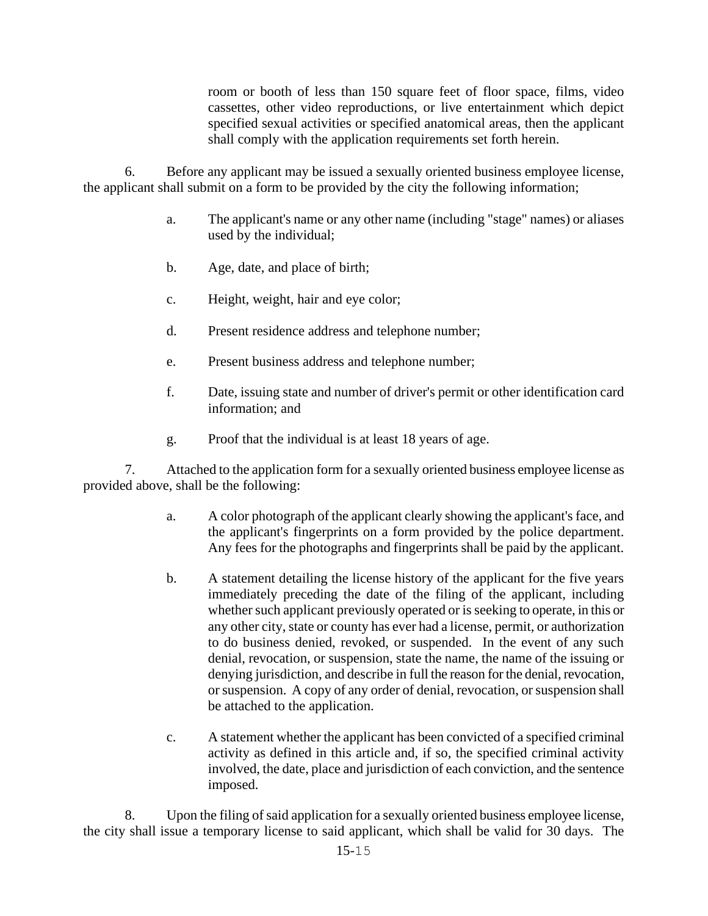room or booth of less than 150 square feet of floor space, films, video cassettes, other video reproductions, or live entertainment which depict specified sexual activities or specified anatomical areas, then the applicant shall comply with the application requirements set forth herein.

6. Before any applicant may be issued a sexually oriented business employee license, the applicant shall submit on a form to be provided by the city the following information;

- a. The applicant's name or any other name (including "stage" names) or aliases used by the individual;
- b. Age, date, and place of birth;
- c. Height, weight, hair and eye color;
- d. Present residence address and telephone number;
- e. Present business address and telephone number;
- f. Date, issuing state and number of driver's permit or other identification card information; and
- g. Proof that the individual is at least 18 years of age.

7. Attached to the application form for a sexually oriented business employee license as provided above, shall be the following:

- a. A color photograph of the applicant clearly showing the applicant's face, and the applicant's fingerprints on a form provided by the police department. Any fees for the photographs and fingerprints shall be paid by the applicant.
- b. A statement detailing the license history of the applicant for the five years immediately preceding the date of the filing of the applicant, including whether such applicant previously operated or is seeking to operate, in this or any other city, state or county has ever had a license, permit, or authorization to do business denied, revoked, or suspended. In the event of any such denial, revocation, or suspension, state the name, the name of the issuing or denying jurisdiction, and describe in full the reason for the denial, revocation, or suspension. A copy of any order of denial, revocation, or suspension shall be attached to the application.
- c. A statement whether the applicant has been convicted of a specified criminal activity as defined in this article and, if so, the specified criminal activity involved, the date, place and jurisdiction of each conviction, and the sentence imposed.

8. Upon the filing of said application for a sexually oriented business employee license, the city shall issue a temporary license to said applicant, which shall be valid for 30 days. The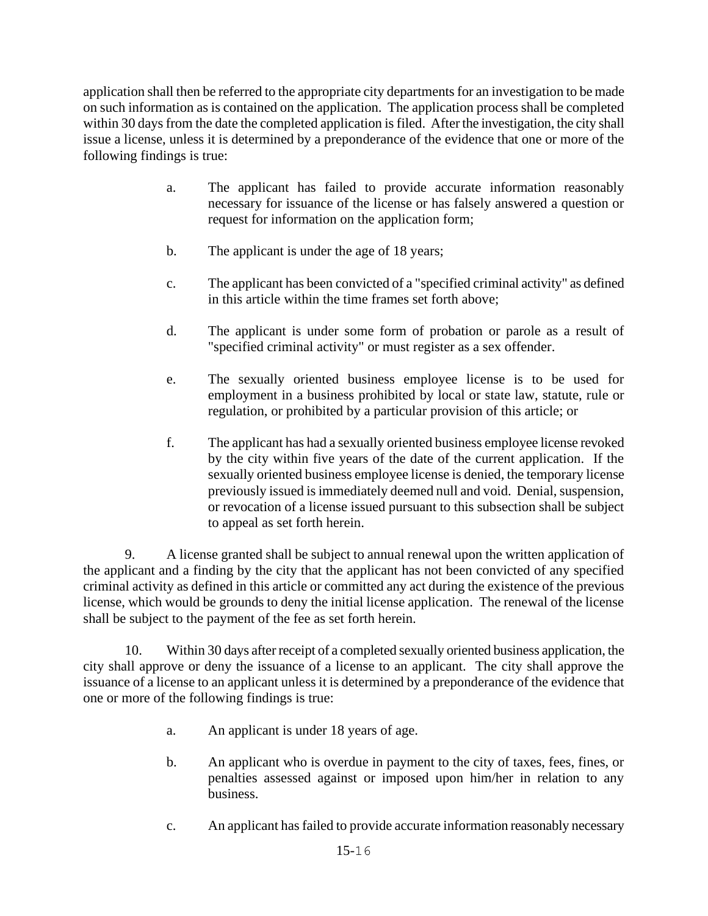application shall then be referred to the appropriate city departments for an investigation to be made on such information as is contained on the application. The application process shall be completed within 30 days from the date the completed application is filed. After the investigation, the city shall issue a license, unless it is determined by a preponderance of the evidence that one or more of the following findings is true:

- a. The applicant has failed to provide accurate information reasonably necessary for issuance of the license or has falsely answered a question or request for information on the application form;
- b. The applicant is under the age of 18 years;
- c. The applicant has been convicted of a "specified criminal activity" as defined in this article within the time frames set forth above;
- d. The applicant is under some form of probation or parole as a result of "specified criminal activity" or must register as a sex offender.
- e. The sexually oriented business employee license is to be used for employment in a business prohibited by local or state law, statute, rule or regulation, or prohibited by a particular provision of this article; or
- f. The applicant has had a sexually oriented business employee license revoked by the city within five years of the date of the current application. If the sexually oriented business employee license is denied, the temporary license previously issued is immediately deemed null and void. Denial, suspension, or revocation of a license issued pursuant to this subsection shall be subject to appeal as set forth herein.

9. A license granted shall be subject to annual renewal upon the written application of the applicant and a finding by the city that the applicant has not been convicted of any specified criminal activity as defined in this article or committed any act during the existence of the previous license, which would be grounds to deny the initial license application. The renewal of the license shall be subject to the payment of the fee as set forth herein.

10. Within 30 days after receipt of a completed sexually oriented business application, the city shall approve or deny the issuance of a license to an applicant. The city shall approve the issuance of a license to an applicant unless it is determined by a preponderance of the evidence that one or more of the following findings is true:

- a. An applicant is under 18 years of age.
- b. An applicant who is overdue in payment to the city of taxes, fees, fines, or penalties assessed against or imposed upon him/her in relation to any business.
- c. An applicant has failed to provide accurate information reasonably necessary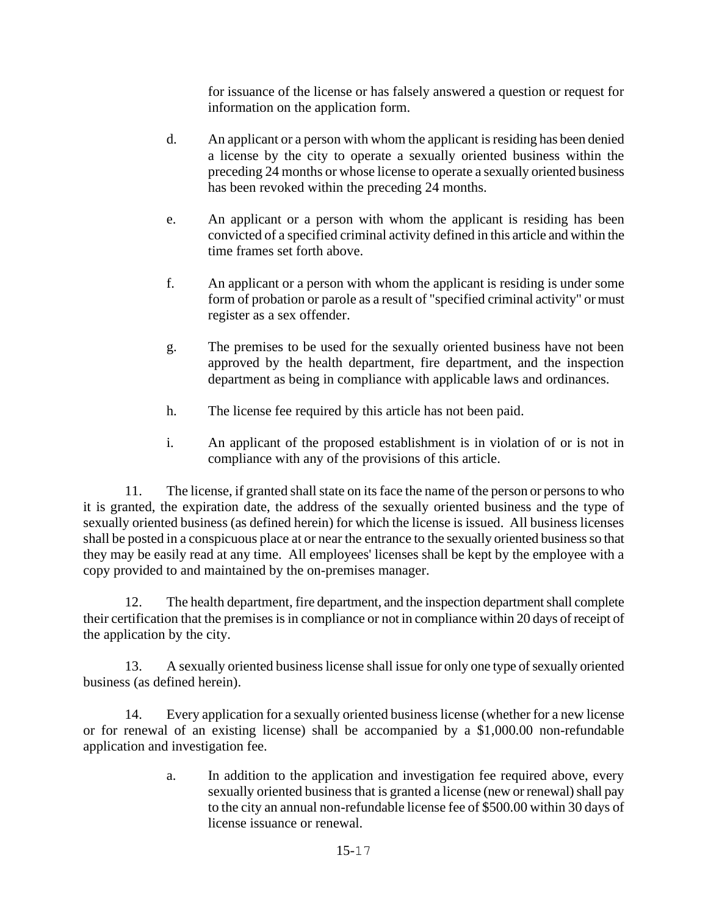for issuance of the license or has falsely answered a question or request for information on the application form.

- d. An applicant or a person with whom the applicant is residing has been denied a license by the city to operate a sexually oriented business within the preceding 24 months or whose license to operate a sexually oriented business has been revoked within the preceding 24 months.
- e. An applicant or a person with whom the applicant is residing has been convicted of a specified criminal activity defined in this article and within the time frames set forth above.
- f. An applicant or a person with whom the applicant is residing is under some form of probation or parole as a result of "specified criminal activity" or must register as a sex offender.
- g. The premises to be used for the sexually oriented business have not been approved by the health department, fire department, and the inspection department as being in compliance with applicable laws and ordinances.
- h. The license fee required by this article has not been paid.
- i. An applicant of the proposed establishment is in violation of or is not in compliance with any of the provisions of this article.

11. The license, if granted shall state on its face the name of the person or persons to who it is granted, the expiration date, the address of the sexually oriented business and the type of sexually oriented business (as defined herein) for which the license is issued. All business licenses shall be posted in a conspicuous place at or near the entrance to the sexually oriented business so that they may be easily read at any time. All employees' licenses shall be kept by the employee with a copy provided to and maintained by the on-premises manager.

12. The health department, fire department, and the inspection department shall complete their certification that the premises is in compliance or not in compliance within 20 days of receipt of the application by the city.

13. A sexually oriented business license shall issue for only one type of sexually oriented business (as defined herein).

14. Every application for a sexually oriented business license (whether for a new license or for renewal of an existing license) shall be accompanied by a \$1,000.00 non-refundable application and investigation fee.

> a. In addition to the application and investigation fee required above, every sexually oriented business that is granted a license (new or renewal) shall pay to the city an annual non-refundable license fee of \$500.00 within 30 days of license issuance or renewal.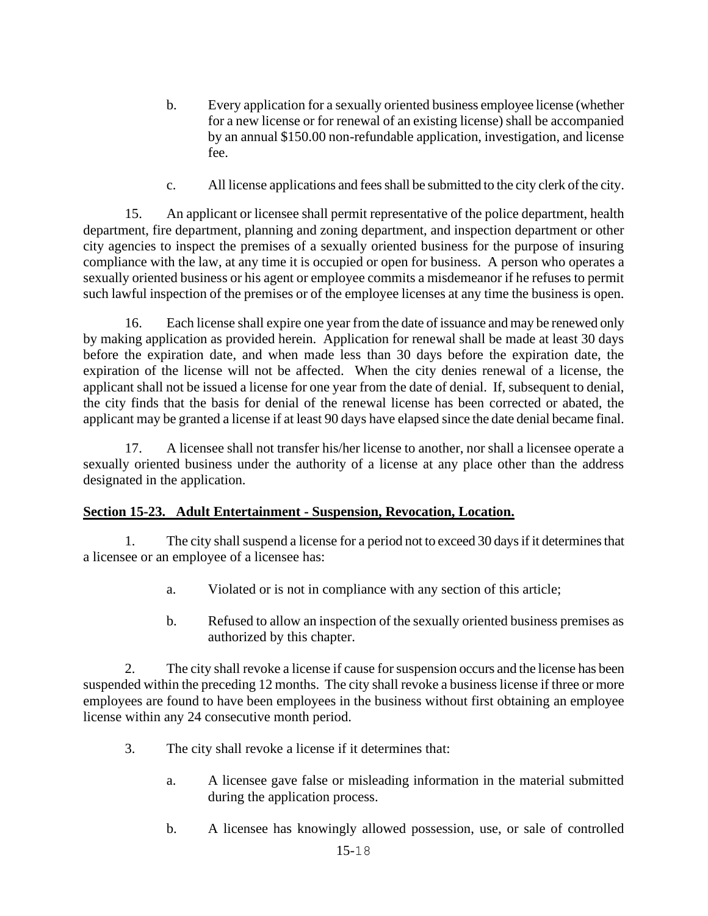- b. Every application for a sexually oriented business employee license (whether for a new license or for renewal of an existing license) shall be accompanied by an annual \$150.00 non-refundable application, investigation, and license fee.
- c. All license applications and fees shall be submitted to the city clerk of the city.

15. An applicant or licensee shall permit representative of the police department, health department, fire department, planning and zoning department, and inspection department or other city agencies to inspect the premises of a sexually oriented business for the purpose of insuring compliance with the law, at any time it is occupied or open for business. A person who operates a sexually oriented business or his agent or employee commits a misdemeanor if he refuses to permit such lawful inspection of the premises or of the employee licenses at any time the business is open.

16. Each license shall expire one year from the date of issuance and may be renewed only by making application as provided herein. Application for renewal shall be made at least 30 days before the expiration date, and when made less than 30 days before the expiration date, the expiration of the license will not be affected. When the city denies renewal of a license, the applicant shall not be issued a license for one year from the date of denial. If, subsequent to denial, the city finds that the basis for denial of the renewal license has been corrected or abated, the applicant may be granted a license if at least 90 days have elapsed since the date denial became final.

17. A licensee shall not transfer his/her license to another, nor shall a licensee operate a sexually oriented business under the authority of a license at any place other than the address designated in the application.

### **Section 15-23. Adult Entertainment - Suspension, Revocation, Location.**

1. The city shall suspend a license for a period not to exceed 30 days if it determines that a licensee or an employee of a licensee has:

- a. Violated or is not in compliance with any section of this article;
- b. Refused to allow an inspection of the sexually oriented business premises as authorized by this chapter.

2. The city shall revoke a license if cause for suspension occurs and the license has been suspended within the preceding 12 months. The city shall revoke a business license if three or more employees are found to have been employees in the business without first obtaining an employee license within any 24 consecutive month period.

- 3. The city shall revoke a license if it determines that:
	- a. A licensee gave false or misleading information in the material submitted during the application process.
	- b. A licensee has knowingly allowed possession, use, or sale of controlled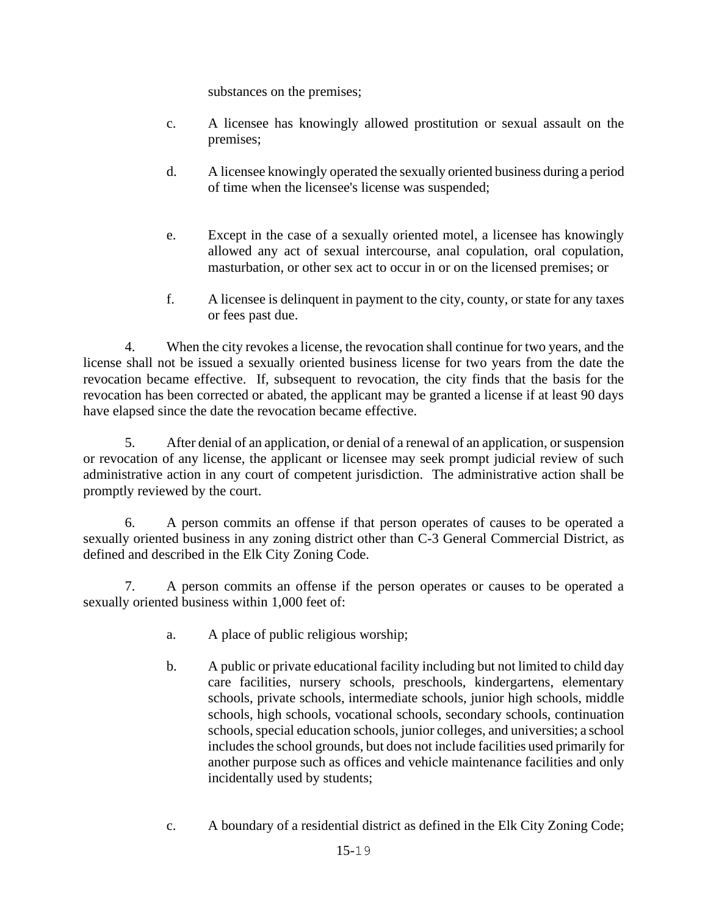substances on the premises;

- c. A licensee has knowingly allowed prostitution or sexual assault on the premises;
- d. A licensee knowingly operated the sexually oriented business during a period of time when the licensee's license was suspended;
- e. Except in the case of a sexually oriented motel, a licensee has knowingly allowed any act of sexual intercourse, anal copulation, oral copulation, masturbation, or other sex act to occur in or on the licensed premises; or
- f. A licensee is delinquent in payment to the city, county, or state for any taxes or fees past due.

4. When the city revokes a license, the revocation shall continue for two years, and the license shall not be issued a sexually oriented business license for two years from the date the revocation became effective. If, subsequent to revocation, the city finds that the basis for the revocation has been corrected or abated, the applicant may be granted a license if at least 90 days have elapsed since the date the revocation became effective.

5. After denial of an application, or denial of a renewal of an application, or suspension or revocation of any license, the applicant or licensee may seek prompt judicial review of such administrative action in any court of competent jurisdiction. The administrative action shall be promptly reviewed by the court.

6. A person commits an offense if that person operates of causes to be operated a sexually oriented business in any zoning district other than C-3 General Commercial District, as defined and described in the Elk City Zoning Code.

7. A person commits an offense if the person operates or causes to be operated a sexually oriented business within 1,000 feet of:

- a. A place of public religious worship;
- b. A public or private educational facility including but not limited to child day care facilities, nursery schools, preschools, kindergartens, elementary schools, private schools, intermediate schools, junior high schools, middle schools, high schools, vocational schools, secondary schools, continuation schools, special education schools, junior colleges, and universities; a school includes the school grounds, but does not include facilities used primarily for another purpose such as offices and vehicle maintenance facilities and only incidentally used by students;
- c. A boundary of a residential district as defined in the Elk City Zoning Code;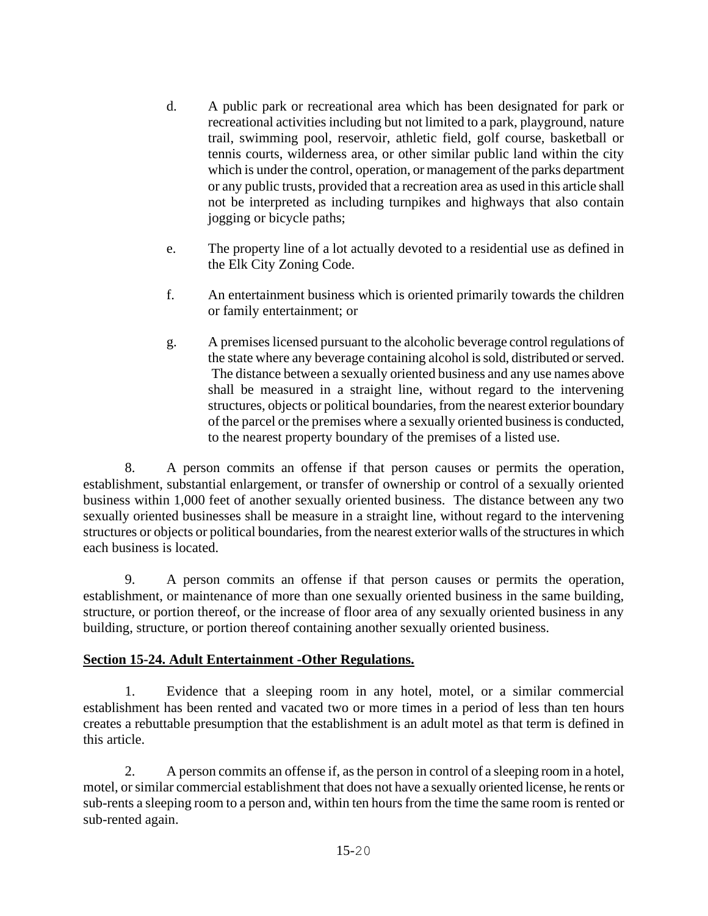- d. A public park or recreational area which has been designated for park or recreational activities including but not limited to a park, playground, nature trail, swimming pool, reservoir, athletic field, golf course, basketball or tennis courts, wilderness area, or other similar public land within the city which is under the control, operation, or management of the parks department or any public trusts, provided that a recreation area as used in this article shall not be interpreted as including turnpikes and highways that also contain jogging or bicycle paths;
- e. The property line of a lot actually devoted to a residential use as defined in the Elk City Zoning Code.
- f. An entertainment business which is oriented primarily towards the children or family entertainment; or
- g. A premises licensed pursuant to the alcoholic beverage control regulations of the state where any beverage containing alcohol is sold, distributed or served. The distance between a sexually oriented business and any use names above shall be measured in a straight line, without regard to the intervening structures, objects or political boundaries, from the nearest exterior boundary of the parcel or the premises where a sexually oriented business is conducted, to the nearest property boundary of the premises of a listed use.

8. A person commits an offense if that person causes or permits the operation, establishment, substantial enlargement, or transfer of ownership or control of a sexually oriented business within 1,000 feet of another sexually oriented business. The distance between any two sexually oriented businesses shall be measure in a straight line, without regard to the intervening structures or objects or political boundaries, from the nearest exterior walls of the structures in which each business is located.

9. A person commits an offense if that person causes or permits the operation, establishment, or maintenance of more than one sexually oriented business in the same building, structure, or portion thereof, or the increase of floor area of any sexually oriented business in any building, structure, or portion thereof containing another sexually oriented business.

### **Section 15-24. Adult Entertainment -Other Regulations.**

1. Evidence that a sleeping room in any hotel, motel, or a similar commercial establishment has been rented and vacated two or more times in a period of less than ten hours creates a rebuttable presumption that the establishment is an adult motel as that term is defined in this article.

2. A person commits an offense if, as the person in control of a sleeping room in a hotel, motel, or similar commercial establishment that does not have a sexually oriented license, he rents or sub-rents a sleeping room to a person and, within ten hours from the time the same room is rented or sub-rented again.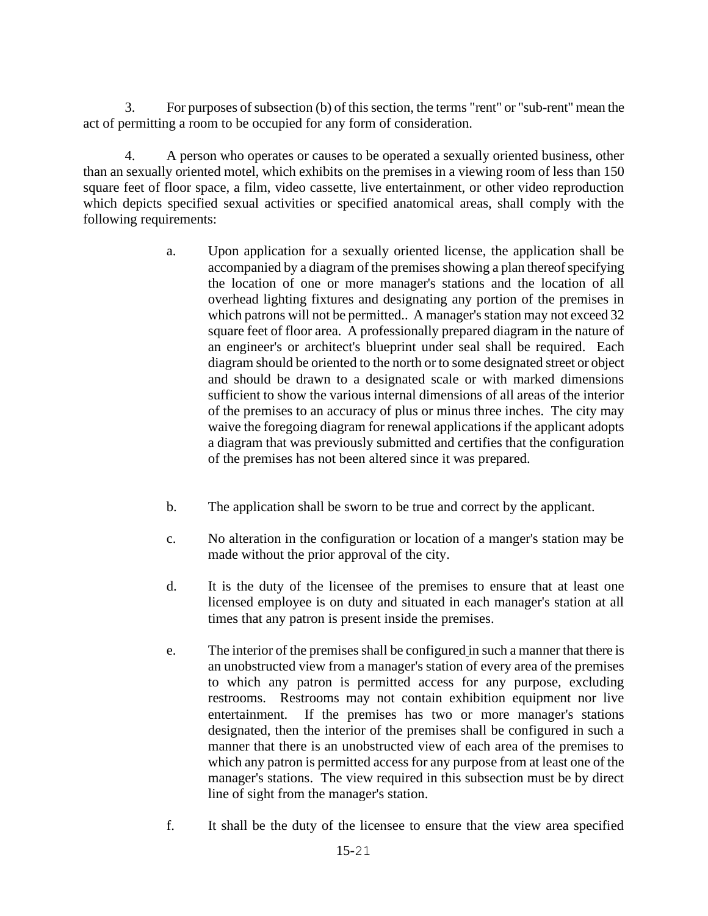3. For purposes of subsection (b) of this section, the terms "rent" or "sub-rent" mean the act of permitting a room to be occupied for any form of consideration.

4. A person who operates or causes to be operated a sexually oriented business, other than an sexually oriented motel, which exhibits on the premises in a viewing room of less than 150 square feet of floor space, a film, video cassette, live entertainment, or other video reproduction which depicts specified sexual activities or specified anatomical areas, shall comply with the following requirements:

- a. Upon application for a sexually oriented license, the application shall be accompanied by a diagram of the premises showing a plan thereof specifying the location of one or more manager's stations and the location of all overhead lighting fixtures and designating any portion of the premises in which patrons will not be permitted.. A manager's station may not exceed 32 square feet of floor area. A professionally prepared diagram in the nature of an engineer's or architect's blueprint under seal shall be required. Each diagram should be oriented to the north or to some designated street or object and should be drawn to a designated scale or with marked dimensions sufficient to show the various internal dimensions of all areas of the interior of the premises to an accuracy of plus or minus three inches. The city may waive the foregoing diagram for renewal applications if the applicant adopts a diagram that was previously submitted and certifies that the configuration of the premises has not been altered since it was prepared.
- b. The application shall be sworn to be true and correct by the applicant.
- c. No alteration in the configuration or location of a manger's station may be made without the prior approval of the city.
- d. It is the duty of the licensee of the premises to ensure that at least one licensed employee is on duty and situated in each manager's station at all times that any patron is present inside the premises.
- e. The interior of the premises shall be configured in such a manner that there is an unobstructed view from a manager's station of every area of the premises to which any patron is permitted access for any purpose, excluding restrooms. Restrooms may not contain exhibition equipment nor live entertainment. If the premises has two or more manager's stations designated, then the interior of the premises shall be configured in such a manner that there is an unobstructed view of each area of the premises to which any patron is permitted access for any purpose from at least one of the manager's stations. The view required in this subsection must be by direct line of sight from the manager's station.
- f. It shall be the duty of the licensee to ensure that the view area specified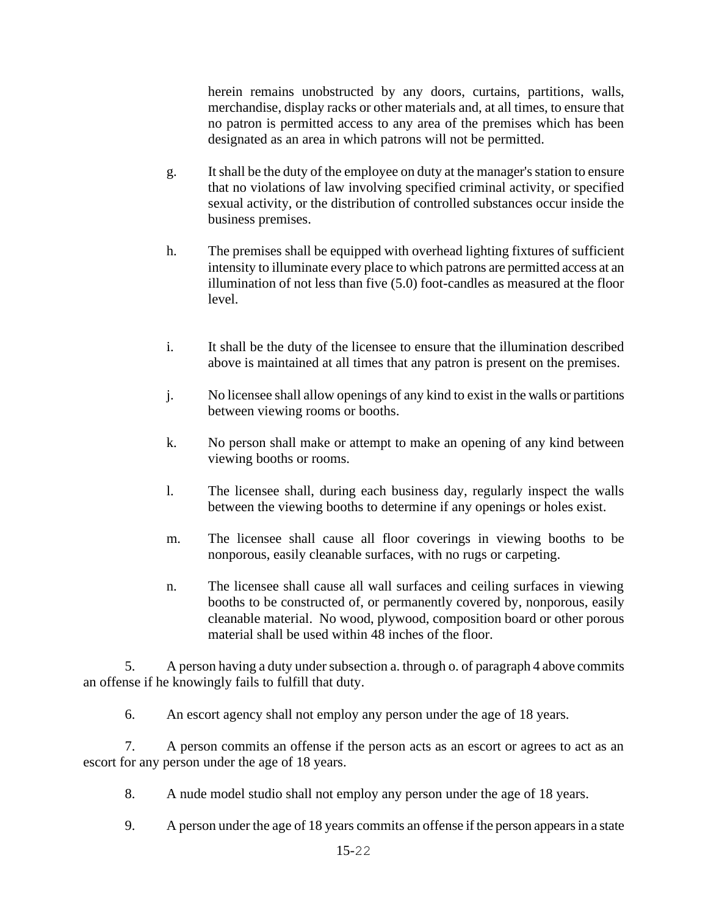herein remains unobstructed by any doors, curtains, partitions, walls, merchandise, display racks or other materials and, at all times, to ensure that no patron is permitted access to any area of the premises which has been designated as an area in which patrons will not be permitted.

- g. It shall be the duty of the employee on duty at the manager's station to ensure that no violations of law involving specified criminal activity, or specified sexual activity, or the distribution of controlled substances occur inside the business premises.
- h. The premises shall be equipped with overhead lighting fixtures of sufficient intensity to illuminate every place to which patrons are permitted access at an illumination of not less than five (5.0) foot-candles as measured at the floor level.
- i. It shall be the duty of the licensee to ensure that the illumination described above is maintained at all times that any patron is present on the premises.
- j. No licensee shall allow openings of any kind to exist in the walls or partitions between viewing rooms or booths.
- k. No person shall make or attempt to make an opening of any kind between viewing booths or rooms.
- l. The licensee shall, during each business day, regularly inspect the walls between the viewing booths to determine if any openings or holes exist.
- m. The licensee shall cause all floor coverings in viewing booths to be nonporous, easily cleanable surfaces, with no rugs or carpeting.
- n. The licensee shall cause all wall surfaces and ceiling surfaces in viewing booths to be constructed of, or permanently covered by, nonporous, easily cleanable material. No wood, plywood, composition board or other porous material shall be used within 48 inches of the floor.

5. A person having a duty under subsection a. through o. of paragraph 4 above commits an offense if he knowingly fails to fulfill that duty.

6. An escort agency shall not employ any person under the age of 18 years.

7. A person commits an offense if the person acts as an escort or agrees to act as an escort for any person under the age of 18 years.

- 8. A nude model studio shall not employ any person under the age of 18 years.
- 9. A person under the age of 18 years commits an offense if the person appears in a state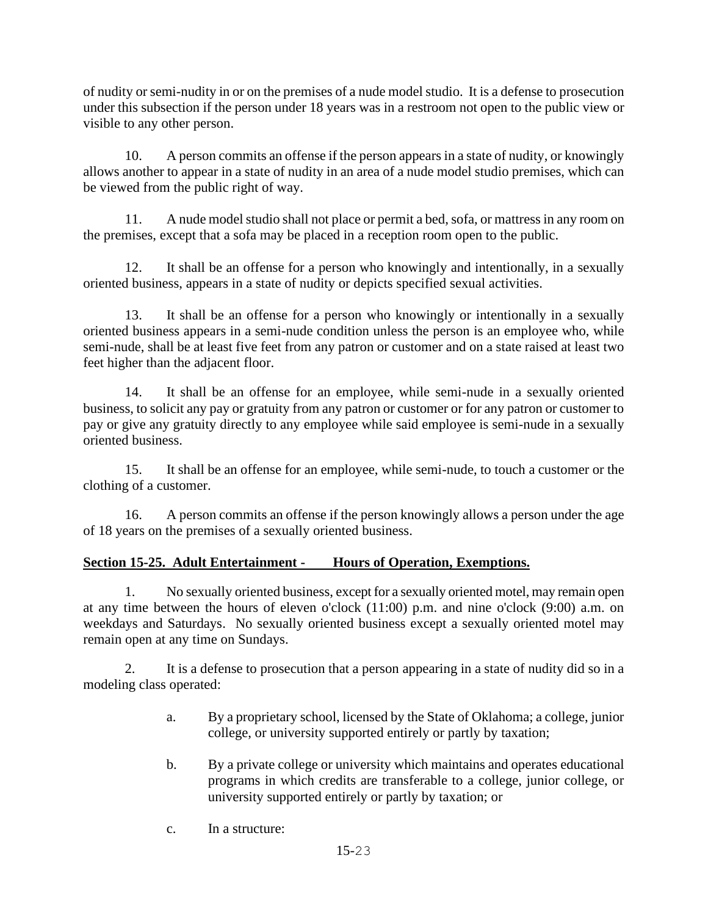of nudity or semi-nudity in or on the premises of a nude model studio. It is a defense to prosecution under this subsection if the person under 18 years was in a restroom not open to the public view or visible to any other person.

10. A person commits an offense if the person appears in a state of nudity, or knowingly allows another to appear in a state of nudity in an area of a nude model studio premises, which can be viewed from the public right of way.

11. A nude model studio shall not place or permit a bed, sofa, or mattress in any room on the premises, except that a sofa may be placed in a reception room open to the public.

12. It shall be an offense for a person who knowingly and intentionally, in a sexually oriented business, appears in a state of nudity or depicts specified sexual activities.

13. It shall be an offense for a person who knowingly or intentionally in a sexually oriented business appears in a semi-nude condition unless the person is an employee who, while semi-nude, shall be at least five feet from any patron or customer and on a state raised at least two feet higher than the adjacent floor.

14. It shall be an offense for an employee, while semi-nude in a sexually oriented business, to solicit any pay or gratuity from any patron or customer or for any patron or customer to pay or give any gratuity directly to any employee while said employee is semi-nude in a sexually oriented business.

15. It shall be an offense for an employee, while semi-nude, to touch a customer or the clothing of a customer.

16. A person commits an offense if the person knowingly allows a person under the age of 18 years on the premises of a sexually oriented business.

## **Section 15-25. Adult Entertainment - Hours of Operation, Exemptions.**

1. No sexually oriented business, except for a sexually oriented motel, may remain open at any time between the hours of eleven o'clock (11:00) p.m. and nine o'clock (9:00) a.m. on weekdays and Saturdays. No sexually oriented business except a sexually oriented motel may remain open at any time on Sundays.

2. It is a defense to prosecution that a person appearing in a state of nudity did so in a modeling class operated:

- a. By a proprietary school, licensed by the State of Oklahoma; a college, junior college, or university supported entirely or partly by taxation;
- b. By a private college or university which maintains and operates educational programs in which credits are transferable to a college, junior college, or university supported entirely or partly by taxation; or
- c. In a structure: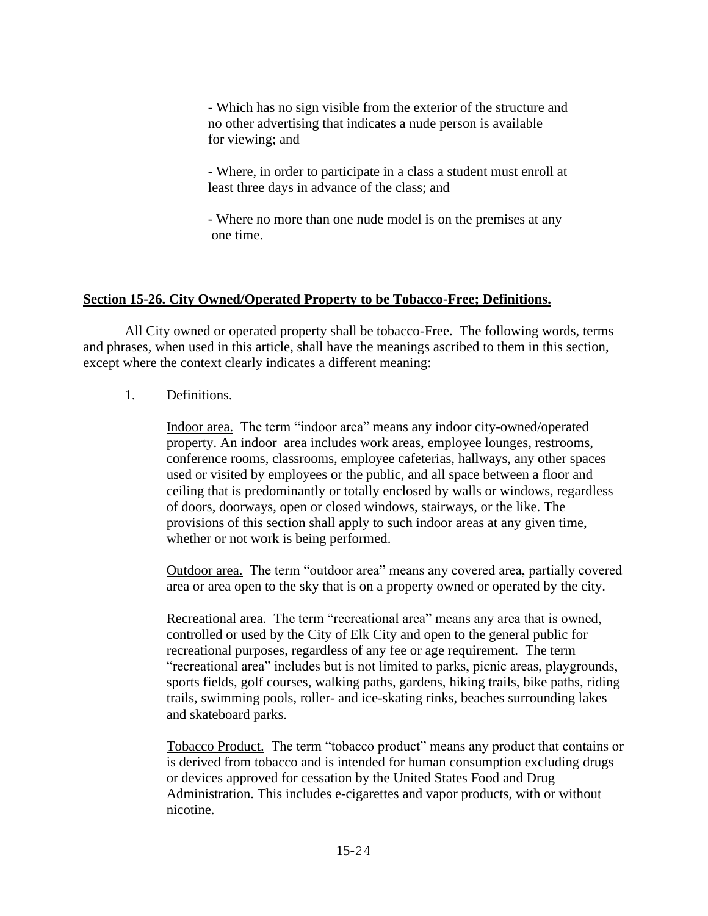- Which has no sign visible from the exterior of the structure and no other advertising that indicates a nude person is available for viewing; and

- Where, in order to participate in a class a student must enroll at least three days in advance of the class; and

- Where no more than one nude model is on the premises at any one time.

### **Section 15-26. City Owned/Operated Property to be Tobacco-Free; Definitions.**

All City owned or operated property shall be tobacco-Free. The following words, terms and phrases, when used in this article, shall have the meanings ascribed to them in this section, except where the context clearly indicates a different meaning:

### 1. Definitions.

Indoor area. The term "indoor area" means any indoor city-owned/operated property. An indoor area includes work areas, employee lounges, restrooms, conference rooms, classrooms, employee cafeterias, hallways, any other spaces used or visited by employees or the public, and all space between a floor and ceiling that is predominantly or totally enclosed by walls or windows, regardless of doors, doorways, open or closed windows, stairways, or the like. The provisions of this section shall apply to such indoor areas at any given time, whether or not work is being performed.

Outdoor area. The term "outdoor area" means any covered area, partially covered area or area open to the sky that is on a property owned or operated by the city.

Recreational area. The term "recreational area" means any area that is owned, controlled or used by the City of Elk City and open to the general public for recreational purposes, regardless of any fee or age requirement. The term "recreational area" includes but is not limited to parks, picnic areas, playgrounds, sports fields, golf courses, walking paths, gardens, hiking trails, bike paths, riding trails, swimming pools, roller- and ice-skating rinks, beaches surrounding lakes and skateboard parks.

Tobacco Product. The term "tobacco product" means any product that contains or is derived from tobacco and is intended for human consumption excluding drugs or devices approved for cessation by the United States Food and Drug Administration. This includes e-cigarettes and vapor products, with or without nicotine.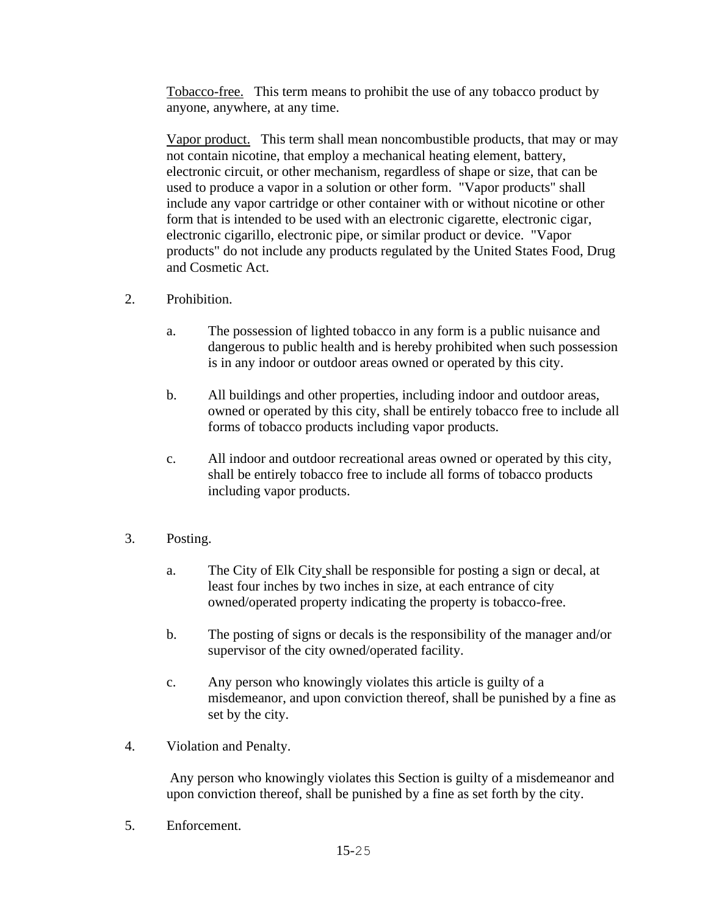Tobacco-free. This term means to prohibit the use of any tobacco product by anyone, anywhere, at any time.

Vapor product. This term shall mean noncombustible products, that may or may not contain nicotine, that employ a mechanical heating element, battery, electronic circuit, or other mechanism, regardless of shape or size, that can be used to produce a vapor in a solution or other form. "Vapor products" shall include any vapor cartridge or other container with or without nicotine or other form that is intended to be used with an electronic cigarette, electronic cigar, electronic cigarillo, electronic pipe, or similar product or device. "Vapor products" do not include any products regulated by the United States Food, Drug and Cosmetic Act.

- 2. Prohibition.
	- a. The possession of lighted tobacco in any form is a public nuisance and dangerous to public health and is hereby prohibited when such possession is in any indoor or outdoor areas owned or operated by this city.
	- b. All buildings and other properties, including indoor and outdoor areas, owned or operated by this city, shall be entirely tobacco free to include all forms of tobacco products including vapor products.
	- c. All indoor and outdoor recreational areas owned or operated by this city, shall be entirely tobacco free to include all forms of tobacco products including vapor products.
- 3. Posting.
	- a. The City of Elk City shall be responsible for posting a sign or decal, at least four inches by two inches in size, at each entrance of city owned/operated property indicating the property is tobacco-free.
	- b. The posting of signs or decals is the responsibility of the manager and/or supervisor of the city owned/operated facility.
	- c. Any person who knowingly violates this article is guilty of a misdemeanor, and upon conviction thereof, shall be punished by a fine as set by the city.
- 4. Violation and Penalty.

Any person who knowingly violates this Section is guilty of a misdemeanor and upon conviction thereof, shall be punished by a fine as set forth by the city.

5. Enforcement.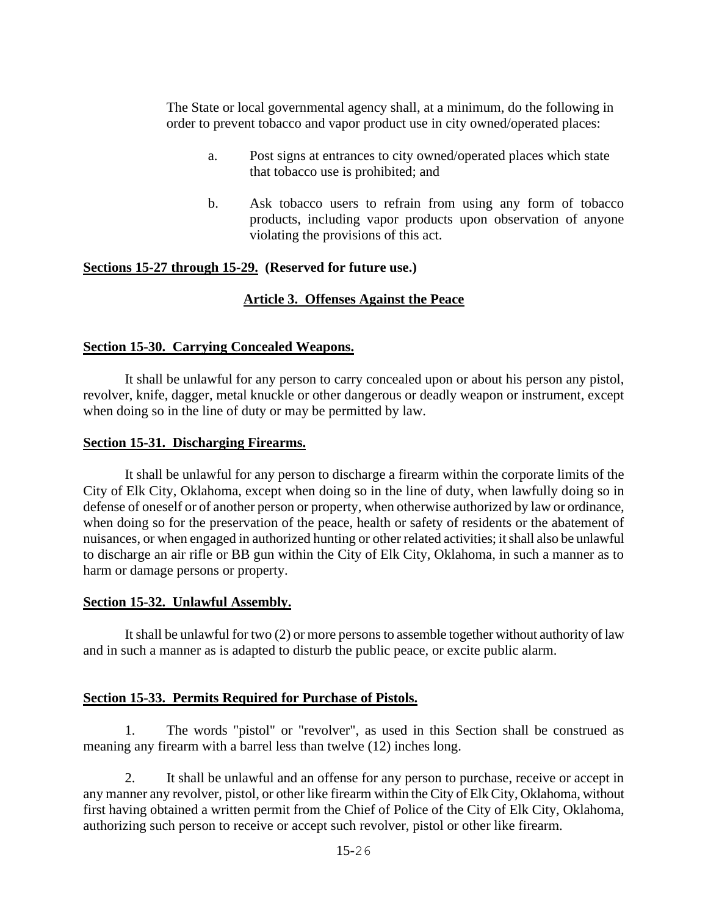The State or local governmental agency shall, at a minimum, do the following in order to prevent tobacco and vapor product use in city owned/operated places:

- a. Post signs at entrances to city owned/operated places which state that tobacco use is prohibited; and
- b. Ask tobacco users to refrain from using any form of tobacco products, including vapor products upon observation of anyone violating the provisions of this act.

#### **Sections 15-27 through 15-29. (Reserved for future use.)**

#### **Article 3. Offenses Against the Peace**

#### **Section 15-30. Carrying Concealed Weapons.**

It shall be unlawful for any person to carry concealed upon or about his person any pistol, revolver, knife, dagger, metal knuckle or other dangerous or deadly weapon or instrument, except when doing so in the line of duty or may be permitted by law.

#### **Section 15-31. Discharging Firearms.**

It shall be unlawful for any person to discharge a firearm within the corporate limits of the City of Elk City, Oklahoma, except when doing so in the line of duty, when lawfully doing so in defense of oneself or of another person or property, when otherwise authorized by law or ordinance, when doing so for the preservation of the peace, health or safety of residents or the abatement of nuisances, or when engaged in authorized hunting or other related activities; it shall also be unlawful to discharge an air rifle or BB gun within the City of Elk City, Oklahoma, in such a manner as to harm or damage persons or property.

#### **Section 15-32. Unlawful Assembly.**

It shall be unlawful for two (2) or more persons to assemble together without authority of law and in such a manner as is adapted to disturb the public peace, or excite public alarm.

#### **Section 15-33. Permits Required for Purchase of Pistols.**

1. The words "pistol" or "revolver", as used in this Section shall be construed as meaning any firearm with a barrel less than twelve (12) inches long.

2. It shall be unlawful and an offense for any person to purchase, receive or accept in any manner any revolver, pistol, or other like firearm within the City of Elk City, Oklahoma, without first having obtained a written permit from the Chief of Police of the City of Elk City, Oklahoma, authorizing such person to receive or accept such revolver, pistol or other like firearm.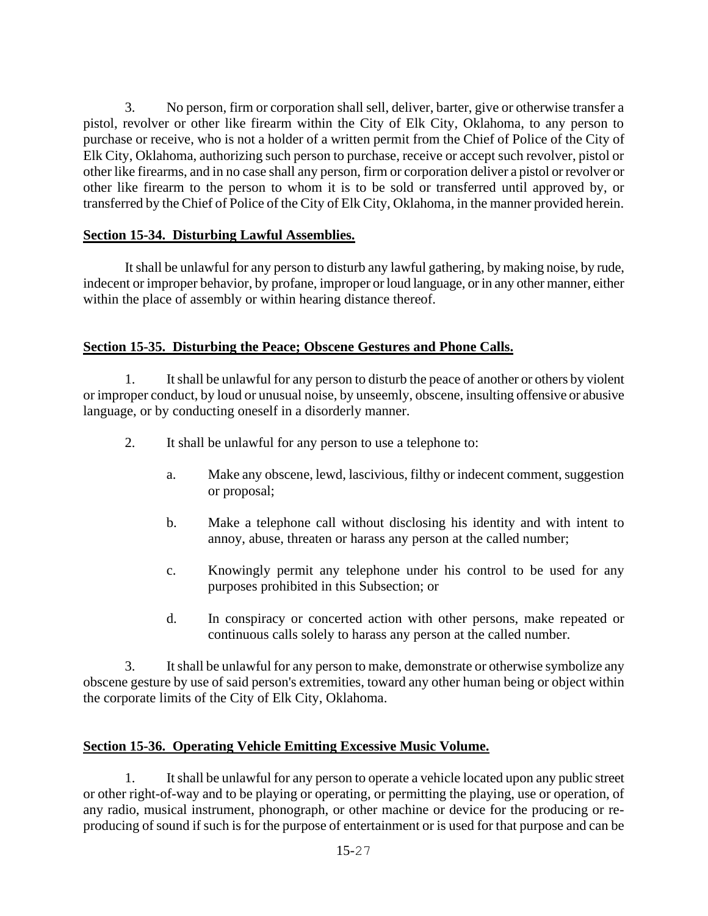3. No person, firm or corporation shall sell, deliver, barter, give or otherwise transfer a pistol, revolver or other like firearm within the City of Elk City, Oklahoma, to any person to purchase or receive, who is not a holder of a written permit from the Chief of Police of the City of Elk City, Oklahoma, authorizing such person to purchase, receive or accept such revolver, pistol or other like firearms, and in no case shall any person, firm or corporation deliver a pistol or revolver or other like firearm to the person to whom it is to be sold or transferred until approved by, or transferred by the Chief of Police of the City of Elk City, Oklahoma, in the manner provided herein.

## **Section 15-34. Disturbing Lawful Assemblies.**

It shall be unlawful for any person to disturb any lawful gathering, by making noise, by rude, indecent or improper behavior, by profane, improper or loud language, or in any other manner, either within the place of assembly or within hearing distance thereof.

## **Section 15-35. Disturbing the Peace; Obscene Gestures and Phone Calls.**

1. It shall be unlawful for any person to disturb the peace of another or others by violent or improper conduct, by loud or unusual noise, by unseemly, obscene, insulting offensive or abusive language, or by conducting oneself in a disorderly manner.

- 2. It shall be unlawful for any person to use a telephone to:
	- a. Make any obscene, lewd, lascivious, filthy or indecent comment, suggestion or proposal;
	- b. Make a telephone call without disclosing his identity and with intent to annoy, abuse, threaten or harass any person at the called number;
	- c. Knowingly permit any telephone under his control to be used for any purposes prohibited in this Subsection; or
	- d. In conspiracy or concerted action with other persons, make repeated or continuous calls solely to harass any person at the called number.

3. It shall be unlawful for any person to make, demonstrate or otherwise symbolize any obscene gesture by use of said person's extremities, toward any other human being or object within the corporate limits of the City of Elk City, Oklahoma.

### **Section 15-36. Operating Vehicle Emitting Excessive Music Volume.**

1. It shall be unlawful for any person to operate a vehicle located upon any public street or other right-of-way and to be playing or operating, or permitting the playing, use or operation, of any radio, musical instrument, phonograph, or other machine or device for the producing or reproducing of sound if such is for the purpose of entertainment or is used for that purpose and can be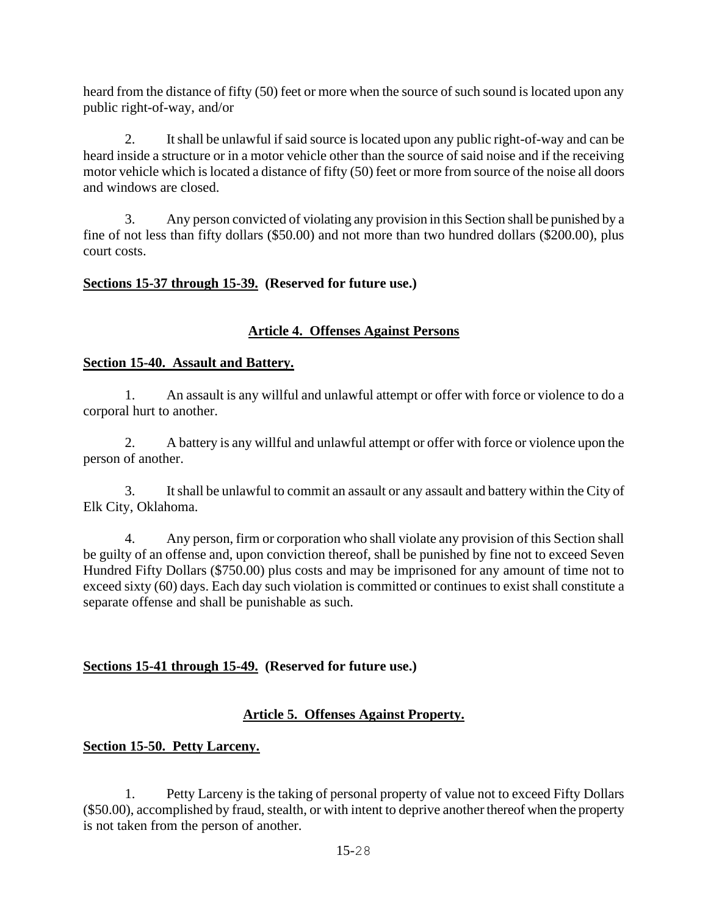heard from the distance of fifty (50) feet or more when the source of such sound is located upon any public right-of-way, and/or

2. It shall be unlawful if said source is located upon any public right-of-way and can be heard inside a structure or in a motor vehicle other than the source of said noise and if the receiving motor vehicle which is located a distance of fifty (50) feet or more from source of the noise all doors and windows are closed.

3. Any person convicted of violating any provision in this Section shall be punished by a fine of not less than fifty dollars (\$50.00) and not more than two hundred dollars (\$200.00), plus court costs.

### **Sections 15-37 through 15-39. (Reserved for future use.)**

## **Article 4. Offenses Against Persons**

#### **Section 15-40. Assault and Battery.**

1. An assault is any willful and unlawful attempt or offer with force or violence to do a corporal hurt to another.

2. A battery is any willful and unlawful attempt or offer with force or violence upon the person of another.

3. It shall be unlawful to commit an assault or any assault and battery within the City of Elk City, Oklahoma.

4. Any person, firm or corporation who shall violate any provision of this Section shall be guilty of an offense and, upon conviction thereof, shall be punished by fine not to exceed Seven Hundred Fifty Dollars (\$750.00) plus costs and may be imprisoned for any amount of time not to exceed sixty (60) days. Each day such violation is committed or continues to exist shall constitute a separate offense and shall be punishable as such.

### **Sections 15-41 through 15-49. (Reserved for future use.)**

### **Article 5. Offenses Against Property.**

### **Section 15-50. Petty Larceny.**

1. Petty Larceny is the taking of personal property of value not to exceed Fifty Dollars (\$50.00), accomplished by fraud, stealth, or with intent to deprive another thereof when the property is not taken from the person of another.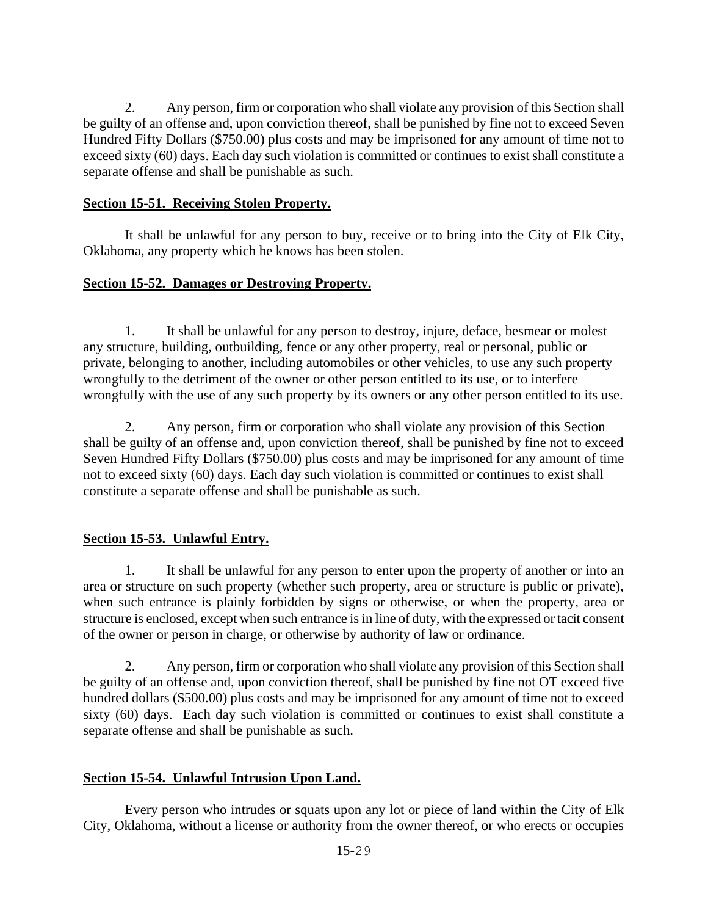2. Any person, firm or corporation who shall violate any provision of this Section shall be guilty of an offense and, upon conviction thereof, shall be punished by fine not to exceed Seven Hundred Fifty Dollars (\$750.00) plus costs and may be imprisoned for any amount of time not to exceed sixty (60) days. Each day such violation is committed or continues to exist shall constitute a separate offense and shall be punishable as such.

### **Section 15-51. Receiving Stolen Property.**

It shall be unlawful for any person to buy, receive or to bring into the City of Elk City, Oklahoma, any property which he knows has been stolen.

## **Section 15-52. Damages or Destroying Property.**

1. It shall be unlawful for any person to destroy, injure, deface, besmear or molest any structure, building, outbuilding, fence or any other property, real or personal, public or private, belonging to another, including automobiles or other vehicles, to use any such property wrongfully to the detriment of the owner or other person entitled to its use, or to interfere wrongfully with the use of any such property by its owners or any other person entitled to its use.

2. Any person, firm or corporation who shall violate any provision of this Section shall be guilty of an offense and, upon conviction thereof, shall be punished by fine not to exceed Seven Hundred Fifty Dollars (\$750.00) plus costs and may be imprisoned for any amount of time not to exceed sixty (60) days. Each day such violation is committed or continues to exist shall constitute a separate offense and shall be punishable as such.

## **Section 15-53. Unlawful Entry.**

1. It shall be unlawful for any person to enter upon the property of another or into an area or structure on such property (whether such property, area or structure is public or private), when such entrance is plainly forbidden by signs or otherwise, or when the property, area or structure is enclosed, except when such entrance is in line of duty, with the expressed or tacit consent of the owner or person in charge, or otherwise by authority of law or ordinance.

2. Any person, firm or corporation who shall violate any provision of this Section shall be guilty of an offense and, upon conviction thereof, shall be punished by fine not OT exceed five hundred dollars (\$500.00) plus costs and may be imprisoned for any amount of time not to exceed sixty (60) days. Each day such violation is committed or continues to exist shall constitute a separate offense and shall be punishable as such.

### **Section 15-54. Unlawful Intrusion Upon Land.**

Every person who intrudes or squats upon any lot or piece of land within the City of Elk City, Oklahoma, without a license or authority from the owner thereof, or who erects or occupies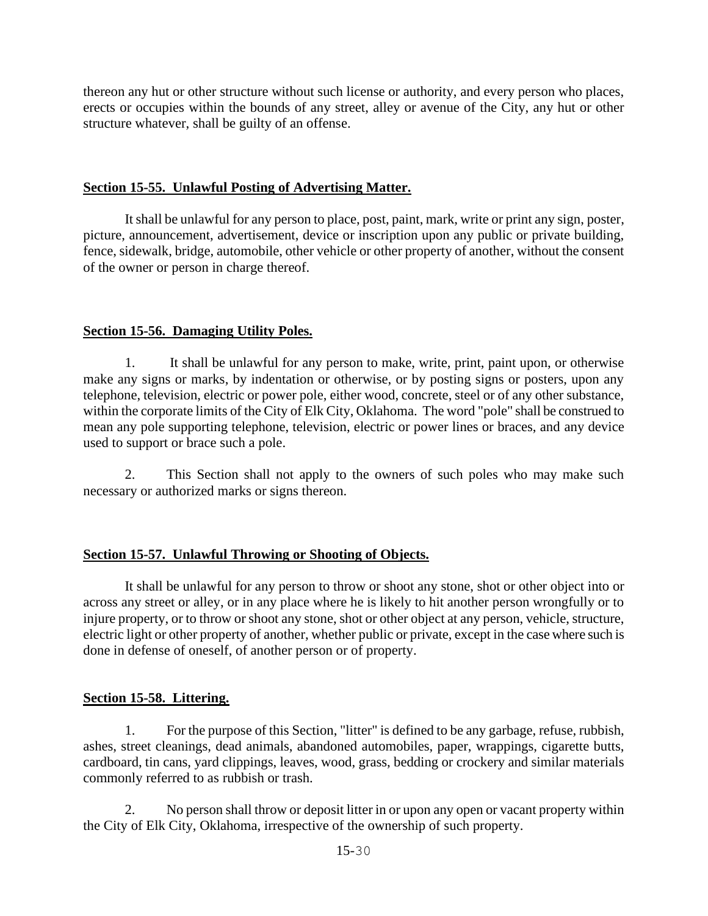thereon any hut or other structure without such license or authority, and every person who places, erects or occupies within the bounds of any street, alley or avenue of the City, any hut or other structure whatever, shall be guilty of an offense.

### **Section 15-55. Unlawful Posting of Advertising Matter.**

It shall be unlawful for any person to place, post, paint, mark, write or print any sign, poster, picture, announcement, advertisement, device or inscription upon any public or private building, fence, sidewalk, bridge, automobile, other vehicle or other property of another, without the consent of the owner or person in charge thereof.

## **Section 15-56. Damaging Utility Poles.**

It shall be unlawful for any person to make, write, print, paint upon, or otherwise make any signs or marks, by indentation or otherwise, or by posting signs or posters, upon any telephone, television, electric or power pole, either wood, concrete, steel or of any other substance, within the corporate limits of the City of Elk City, Oklahoma. The word "pole" shall be construed to mean any pole supporting telephone, television, electric or power lines or braces, and any device used to support or brace such a pole.

2. This Section shall not apply to the owners of such poles who may make such necessary or authorized marks or signs thereon.

## **Section 15-57. Unlawful Throwing or Shooting of Objects.**

It shall be unlawful for any person to throw or shoot any stone, shot or other object into or across any street or alley, or in any place where he is likely to hit another person wrongfully or to injure property, or to throw or shoot any stone, shot or other object at any person, vehicle, structure, electric light or other property of another, whether public or private, except in the case where such is done in defense of oneself, of another person or of property.

## **Section 15-58. Littering.**

1. For the purpose of this Section, "litter" is defined to be any garbage, refuse, rubbish, ashes, street cleanings, dead animals, abandoned automobiles, paper, wrappings, cigarette butts, cardboard, tin cans, yard clippings, leaves, wood, grass, bedding or crockery and similar materials commonly referred to as rubbish or trash.

2. No person shall throw or deposit litter in or upon any open or vacant property within the City of Elk City, Oklahoma, irrespective of the ownership of such property.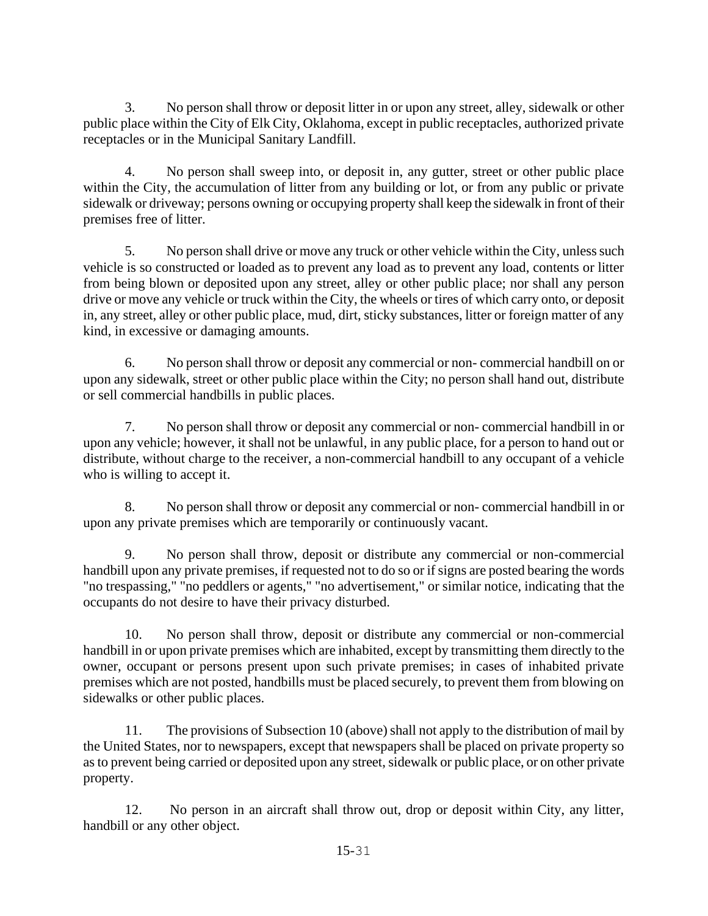3. No person shall throw or deposit litter in or upon any street, alley, sidewalk or other public place within the City of Elk City, Oklahoma, except in public receptacles, authorized private receptacles or in the Municipal Sanitary Landfill.

4. No person shall sweep into, or deposit in, any gutter, street or other public place within the City, the accumulation of litter from any building or lot, or from any public or private sidewalk or driveway; persons owning or occupying property shall keep the sidewalk in front of their premises free of litter.

5. No person shall drive or move any truck or other vehicle within the City, unless such vehicle is so constructed or loaded as to prevent any load as to prevent any load, contents or litter from being blown or deposited upon any street, alley or other public place; nor shall any person drive or move any vehicle or truck within the City, the wheels or tires of which carry onto, or deposit in, any street, alley or other public place, mud, dirt, sticky substances, litter or foreign matter of any kind, in excessive or damaging amounts.

6. No person shall throw or deposit any commercial or non- commercial handbill on or upon any sidewalk, street or other public place within the City; no person shall hand out, distribute or sell commercial handbills in public places.

7. No person shall throw or deposit any commercial or non- commercial handbill in or upon any vehicle; however, it shall not be unlawful, in any public place, for a person to hand out or distribute, without charge to the receiver, a non-commercial handbill to any occupant of a vehicle who is willing to accept it.

8. No person shall throw or deposit any commercial or non- commercial handbill in or upon any private premises which are temporarily or continuously vacant.

9. No person shall throw, deposit or distribute any commercial or non-commercial handbill upon any private premises, if requested not to do so or if signs are posted bearing the words "no trespassing," "no peddlers or agents," "no advertisement," or similar notice, indicating that the occupants do not desire to have their privacy disturbed.

10. No person shall throw, deposit or distribute any commercial or non-commercial handbill in or upon private premises which are inhabited, except by transmitting them directly to the owner, occupant or persons present upon such private premises; in cases of inhabited private premises which are not posted, handbills must be placed securely, to prevent them from blowing on sidewalks or other public places.

11. The provisions of Subsection 10 (above) shall not apply to the distribution of mail by the United States, nor to newspapers, except that newspapers shall be placed on private property so as to prevent being carried or deposited upon any street, sidewalk or public place, or on other private property.

12. No person in an aircraft shall throw out, drop or deposit within City, any litter, handbill or any other object.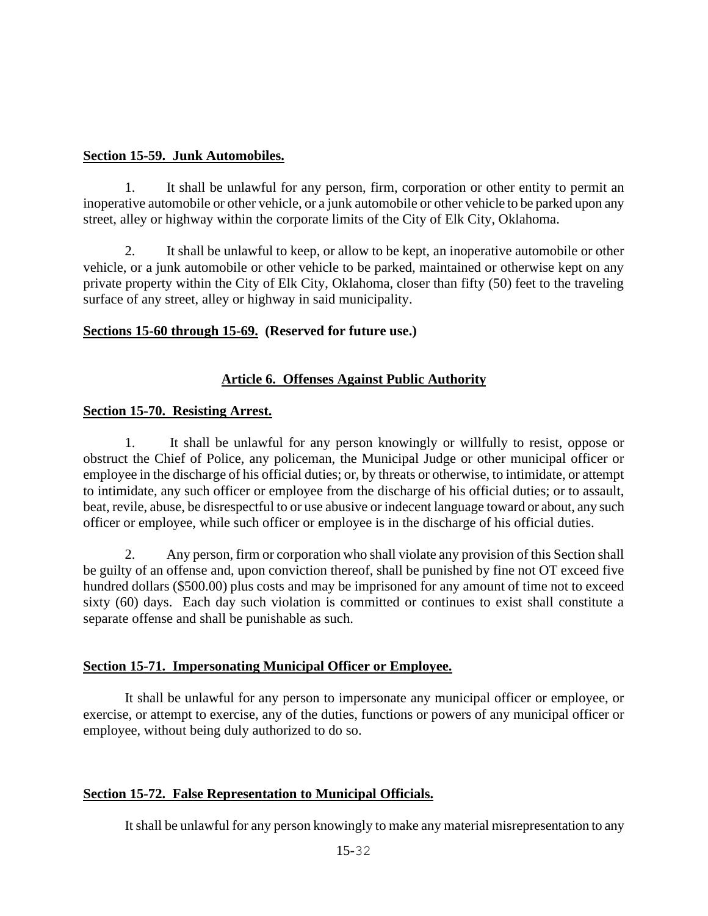#### **Section 15-59. Junk Automobiles.**

1. It shall be unlawful for any person, firm, corporation or other entity to permit an inoperative automobile or other vehicle, or a junk automobile or other vehicle to be parked upon any street, alley or highway within the corporate limits of the City of Elk City, Oklahoma.

2. It shall be unlawful to keep, or allow to be kept, an inoperative automobile or other vehicle, or a junk automobile or other vehicle to be parked, maintained or otherwise kept on any private property within the City of Elk City, Oklahoma, closer than fifty (50) feet to the traveling surface of any street, alley or highway in said municipality.

#### **Sections 15-60 through 15-69. (Reserved for future use.)**

### **Article 6. Offenses Against Public Authority**

#### **Section 15-70. Resisting Arrest.**

1. It shall be unlawful for any person knowingly or willfully to resist, oppose or obstruct the Chief of Police, any policeman, the Municipal Judge or other municipal officer or employee in the discharge of his official duties; or, by threats or otherwise, to intimidate, or attempt to intimidate, any such officer or employee from the discharge of his official duties; or to assault, beat, revile, abuse, be disrespectful to or use abusive or indecent language toward or about, any such officer or employee, while such officer or employee is in the discharge of his official duties.

2. Any person, firm or corporation who shall violate any provision of this Section shall be guilty of an offense and, upon conviction thereof, shall be punished by fine not OT exceed five hundred dollars (\$500.00) plus costs and may be imprisoned for any amount of time not to exceed sixty (60) days. Each day such violation is committed or continues to exist shall constitute a separate offense and shall be punishable as such.

### **Section 15-71. Impersonating Municipal Officer or Employee.**

It shall be unlawful for any person to impersonate any municipal officer or employee, or exercise, or attempt to exercise, any of the duties, functions or powers of any municipal officer or employee, without being duly authorized to do so.

### **Section 15-72. False Representation to Municipal Officials.**

It shall be unlawful for any person knowingly to make any material misrepresentation to any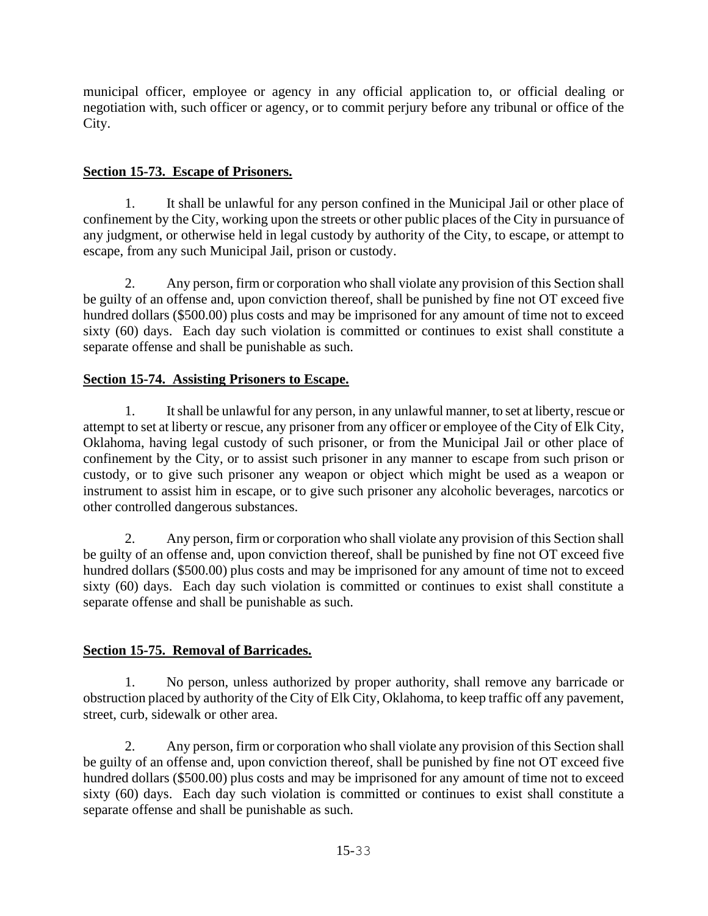municipal officer, employee or agency in any official application to, or official dealing or negotiation with, such officer or agency, or to commit perjury before any tribunal or office of the City.

## **Section 15-73. Escape of Prisoners.**

1. It shall be unlawful for any person confined in the Municipal Jail or other place of confinement by the City, working upon the streets or other public places of the City in pursuance of any judgment, or otherwise held in legal custody by authority of the City, to escape, or attempt to escape, from any such Municipal Jail, prison or custody.

2. Any person, firm or corporation who shall violate any provision of this Section shall be guilty of an offense and, upon conviction thereof, shall be punished by fine not OT exceed five hundred dollars (\$500.00) plus costs and may be imprisoned for any amount of time not to exceed sixty (60) days. Each day such violation is committed or continues to exist shall constitute a separate offense and shall be punishable as such.

# **Section 15-74. Assisting Prisoners to Escape.**

1. It shall be unlawful for any person, in any unlawful manner, to set at liberty, rescue or attempt to set at liberty or rescue, any prisoner from any officer or employee of the City of Elk City, Oklahoma, having legal custody of such prisoner, or from the Municipal Jail or other place of confinement by the City, or to assist such prisoner in any manner to escape from such prison or custody, or to give such prisoner any weapon or object which might be used as a weapon or instrument to assist him in escape, or to give such prisoner any alcoholic beverages, narcotics or other controlled dangerous substances.

2. Any person, firm or corporation who shall violate any provision of this Section shall be guilty of an offense and, upon conviction thereof, shall be punished by fine not OT exceed five hundred dollars (\$500.00) plus costs and may be imprisoned for any amount of time not to exceed sixty (60) days. Each day such violation is committed or continues to exist shall constitute a separate offense and shall be punishable as such.

# **Section 15-75. Removal of Barricades.**

1. No person, unless authorized by proper authority, shall remove any barricade or obstruction placed by authority of the City of Elk City, Oklahoma, to keep traffic off any pavement, street, curb, sidewalk or other area.

2. Any person, firm or corporation who shall violate any provision of this Section shall be guilty of an offense and, upon conviction thereof, shall be punished by fine not OT exceed five hundred dollars (\$500.00) plus costs and may be imprisoned for any amount of time not to exceed sixty (60) days. Each day such violation is committed or continues to exist shall constitute a separate offense and shall be punishable as such.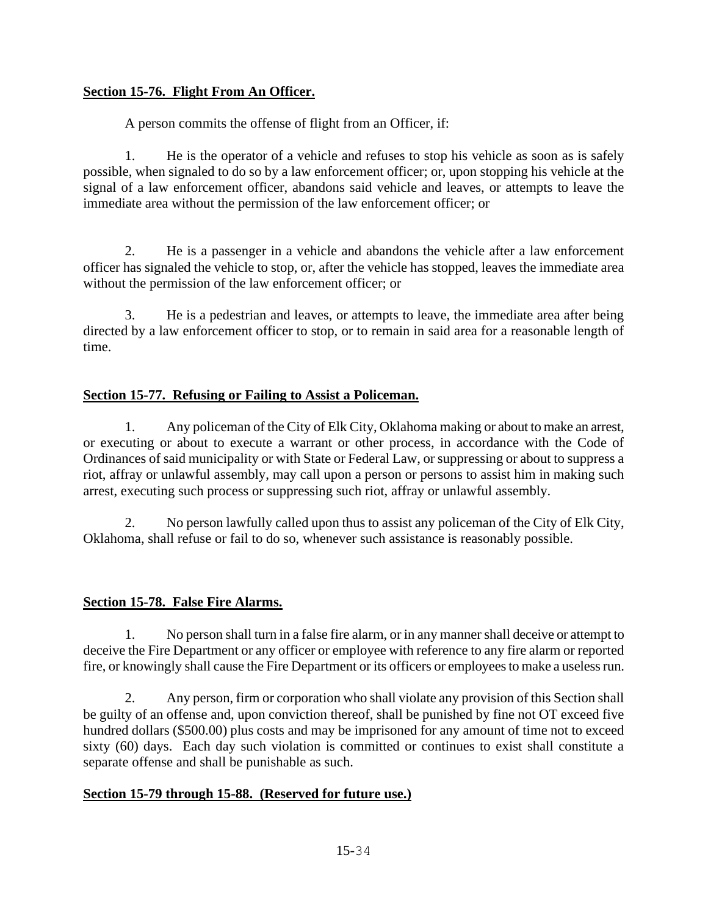## **Section 15-76. Flight From An Officer.**

A person commits the offense of flight from an Officer, if:

1. He is the operator of a vehicle and refuses to stop his vehicle as soon as is safely possible, when signaled to do so by a law enforcement officer; or, upon stopping his vehicle at the signal of a law enforcement officer, abandons said vehicle and leaves, or attempts to leave the immediate area without the permission of the law enforcement officer; or

2. He is a passenger in a vehicle and abandons the vehicle after a law enforcement officer has signaled the vehicle to stop, or, after the vehicle has stopped, leaves the immediate area without the permission of the law enforcement officer; or

3. He is a pedestrian and leaves, or attempts to leave, the immediate area after being directed by a law enforcement officer to stop, or to remain in said area for a reasonable length of time.

## **Section 15-77. Refusing or Failing to Assist a Policeman.**

1. Any policeman of the City of Elk City, Oklahoma making or about to make an arrest, or executing or about to execute a warrant or other process, in accordance with the Code of Ordinances of said municipality or with State or Federal Law, or suppressing or about to suppress a riot, affray or unlawful assembly, may call upon a person or persons to assist him in making such arrest, executing such process or suppressing such riot, affray or unlawful assembly.

2. No person lawfully called upon thus to assist any policeman of the City of Elk City, Oklahoma, shall refuse or fail to do so, whenever such assistance is reasonably possible.

### **Section 15-78. False Fire Alarms.**

1. No person shall turn in a false fire alarm, or in any manner shall deceive or attempt to deceive the Fire Department or any officer or employee with reference to any fire alarm or reported fire, or knowingly shall cause the Fire Department or its officers or employees to make a useless run.

2. Any person, firm or corporation who shall violate any provision of this Section shall be guilty of an offense and, upon conviction thereof, shall be punished by fine not OT exceed five hundred dollars (\$500.00) plus costs and may be imprisoned for any amount of time not to exceed sixty (60) days. Each day such violation is committed or continues to exist shall constitute a separate offense and shall be punishable as such.

### **Section 15-79 through 15-88. (Reserved for future use.)**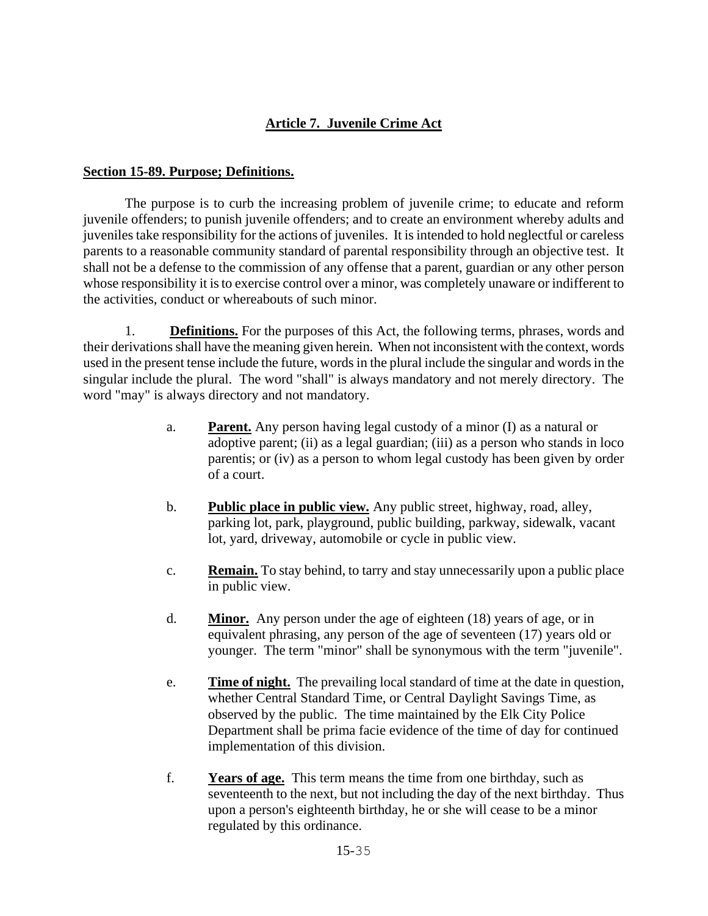## **Article 7. Juvenile Crime Act**

#### **Section 15-89. Purpose; Definitions.**

The purpose is to curb the increasing problem of juvenile crime; to educate and reform juvenile offenders; to punish juvenile offenders; and to create an environment whereby adults and juveniles take responsibility for the actions of juveniles. It is intended to hold neglectful or careless parents to a reasonable community standard of parental responsibility through an objective test. It shall not be a defense to the commission of any offense that a parent, guardian or any other person whose responsibility it is to exercise control over a minor, was completely unaware or indifferent to the activities, conduct or whereabouts of such minor.

1. **Definitions.** For the purposes of this Act, the following terms, phrases, words and their derivations shall have the meaning given herein. When not inconsistent with the context, words used in the present tense include the future, words in the plural include the singular and words in the singular include the plural. The word "shall" is always mandatory and not merely directory. The word "may" is always directory and not mandatory.

- a. **Parent.** Any person having legal custody of a minor (I) as a natural or adoptive parent; (ii) as a legal guardian; (iii) as a person who stands in loco parentis; or (iv) as a person to whom legal custody has been given by order of a court.
- b. **Public place in public view.** Any public street, highway, road, alley, parking lot, park, playground, public building, parkway, sidewalk, vacant lot, yard, driveway, automobile or cycle in public view.
- c. **Remain.** To stay behind, to tarry and stay unnecessarily upon a public place in public view.
- d. **Minor.** Any person under the age of eighteen (18) years of age, or in equivalent phrasing, any person of the age of seventeen (17) years old or younger. The term "minor" shall be synonymous with the term "juvenile".
- e. **Time of night.** The prevailing local standard of time at the date in question, whether Central Standard Time, or Central Daylight Savings Time, as observed by the public. The time maintained by the Elk City Police Department shall be prima facie evidence of the time of day for continued implementation of this division.
- f. **Years of age.** This term means the time from one birthday, such as seventeenth to the next, but not including the day of the next birthday. Thus upon a person's eighteenth birthday, he or she will cease to be a minor regulated by this ordinance.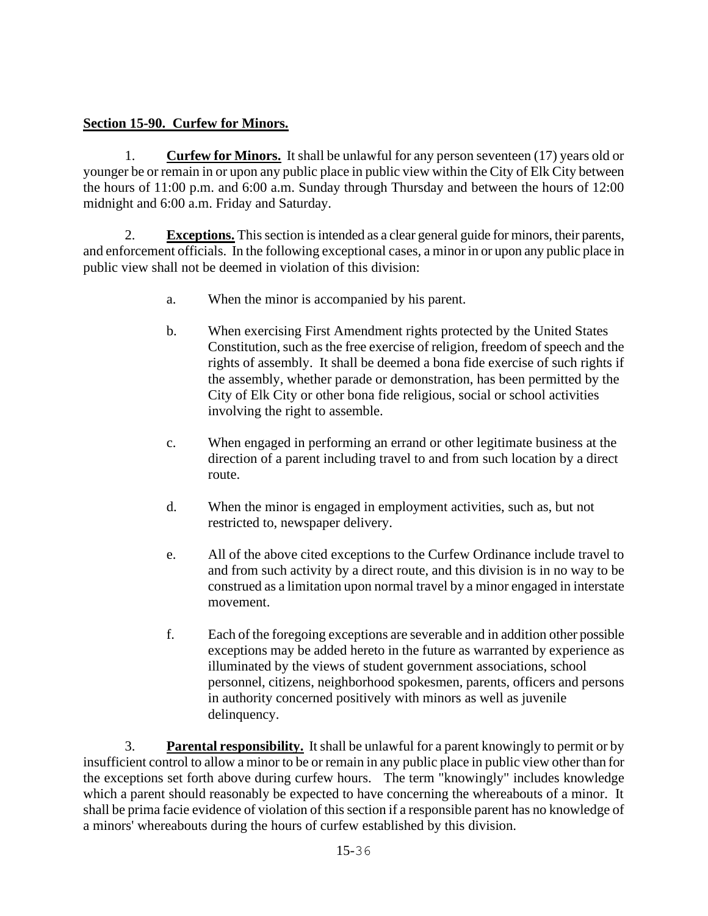### **Section 15-90. Curfew for Minors.**

1. **Curfew for Minors.** It shall be unlawful for any person seventeen (17) years old or younger be or remain in or upon any public place in public view within the City of Elk City between the hours of 11:00 p.m. and 6:00 a.m. Sunday through Thursday and between the hours of 12:00 midnight and 6:00 a.m. Friday and Saturday.

2. **Exceptions.** This section is intended as a clear general guide for minors, their parents, and enforcement officials. In the following exceptional cases, a minor in or upon any public place in public view shall not be deemed in violation of this division:

- a. When the minor is accompanied by his parent.
- b. When exercising First Amendment rights protected by the United States Constitution, such as the free exercise of religion, freedom of speech and the rights of assembly. It shall be deemed a bona fide exercise of such rights if the assembly, whether parade or demonstration, has been permitted by the City of Elk City or other bona fide religious, social or school activities involving the right to assemble.
- c. When engaged in performing an errand or other legitimate business at the direction of a parent including travel to and from such location by a direct route.
- d. When the minor is engaged in employment activities, such as, but not restricted to, newspaper delivery.
- e. All of the above cited exceptions to the Curfew Ordinance include travel to and from such activity by a direct route, and this division is in no way to be construed as a limitation upon normal travel by a minor engaged in interstate movement.
- f. Each of the foregoing exceptions are severable and in addition other possible exceptions may be added hereto in the future as warranted by experience as illuminated by the views of student government associations, school personnel, citizens, neighborhood spokesmen, parents, officers and persons in authority concerned positively with minors as well as juvenile delinquency.

3. **Parental responsibility.** It shall be unlawful for a parent knowingly to permit or by insufficient control to allow a minor to be or remain in any public place in public view other than for the exceptions set forth above during curfew hours. The term "knowingly" includes knowledge which a parent should reasonably be expected to have concerning the whereabouts of a minor. It shall be prima facie evidence of violation of this section if a responsible parent has no knowledge of a minors' whereabouts during the hours of curfew established by this division.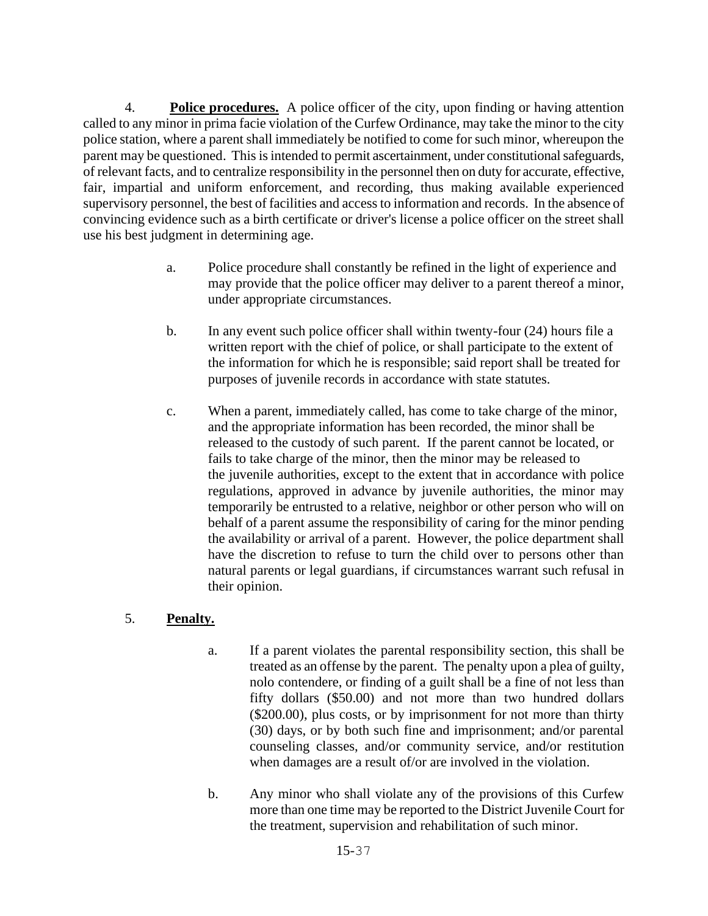4. **Police procedures.** A police officer of the city, upon finding or having attention called to any minor in prima facie violation of the Curfew Ordinance, may take the minor to the city police station, where a parent shall immediately be notified to come for such minor, whereupon the parent may be questioned. This is intended to permit ascertainment, under constitutional safeguards, of relevant facts, and to centralize responsibility in the personnel then on duty for accurate, effective, fair, impartial and uniform enforcement, and recording, thus making available experienced supervisory personnel, the best of facilities and access to information and records. In the absence of convincing evidence such as a birth certificate or driver's license a police officer on the street shall use his best judgment in determining age.

- a. Police procedure shall constantly be refined in the light of experience and may provide that the police officer may deliver to a parent thereof a minor, under appropriate circumstances.
- b. In any event such police officer shall within twenty-four (24) hours file a written report with the chief of police, or shall participate to the extent of the information for which he is responsible; said report shall be treated for purposes of juvenile records in accordance with state statutes.
- c. When a parent, immediately called, has come to take charge of the minor, and the appropriate information has been recorded, the minor shall be released to the custody of such parent. If the parent cannot be located, or fails to take charge of the minor, then the minor may be released to the juvenile authorities, except to the extent that in accordance with police regulations, approved in advance by juvenile authorities, the minor may temporarily be entrusted to a relative, neighbor or other person who will on behalf of a parent assume the responsibility of caring for the minor pending the availability or arrival of a parent. However, the police department shall have the discretion to refuse to turn the child over to persons other than natural parents or legal guardians, if circumstances warrant such refusal in their opinion.

## 5. **Penalty.**

- a. If a parent violates the parental responsibility section, this shall be treated as an offense by the parent. The penalty upon a plea of guilty, nolo contendere, or finding of a guilt shall be a fine of not less than fifty dollars (\$50.00) and not more than two hundred dollars (\$200.00), plus costs, or by imprisonment for not more than thirty (30) days, or by both such fine and imprisonment; and/or parental counseling classes, and/or community service, and/or restitution when damages are a result of/or are involved in the violation.
- b. Any minor who shall violate any of the provisions of this Curfew more than one time may be reported to the District Juvenile Court for the treatment, supervision and rehabilitation of such minor.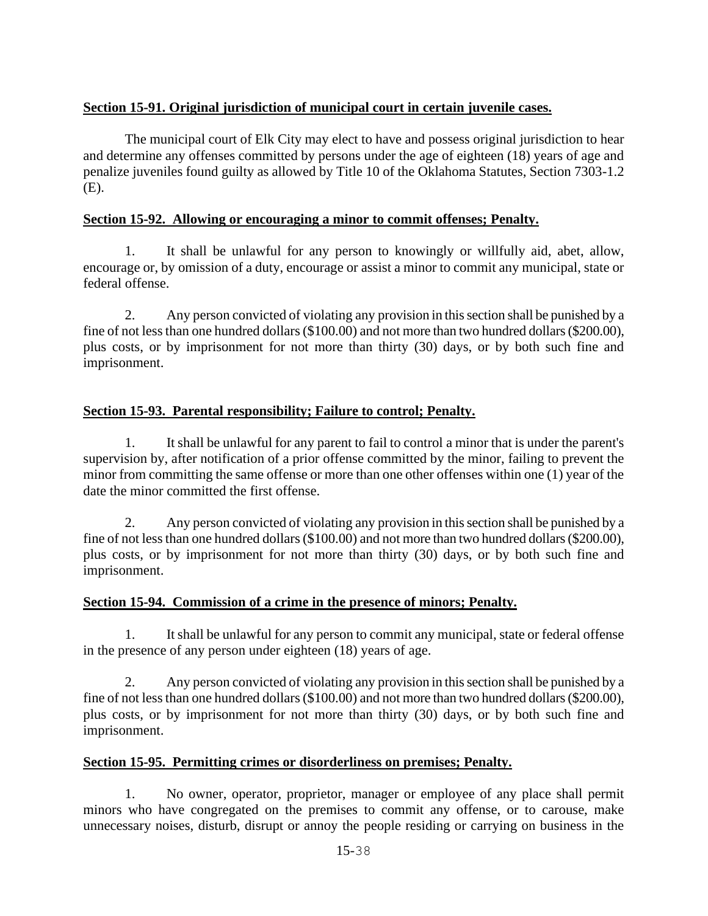## **Section 15-91. Original jurisdiction of municipal court in certain juvenile cases.**

The municipal court of Elk City may elect to have and possess original jurisdiction to hear and determine any offenses committed by persons under the age of eighteen (18) years of age and penalize juveniles found guilty as allowed by Title 10 of the Oklahoma Statutes, Section 7303-1.2 (E).

### **Section 15-92. Allowing or encouraging a minor to commit offenses; Penalty.**

1. It shall be unlawful for any person to knowingly or willfully aid, abet, allow, encourage or, by omission of a duty, encourage or assist a minor to commit any municipal, state or federal offense.

2. Any person convicted of violating any provision in this section shall be punished by a fine of not less than one hundred dollars (\$100.00) and not more than two hundred dollars (\$200.00), plus costs, or by imprisonment for not more than thirty (30) days, or by both such fine and imprisonment.

## **Section 15-93. Parental responsibility; Failure to control; Penalty.**

1. It shall be unlawful for any parent to fail to control a minor that is under the parent's supervision by, after notification of a prior offense committed by the minor, failing to prevent the minor from committing the same offense or more than one other offenses within one (1) year of the date the minor committed the first offense.

2. Any person convicted of violating any provision in this section shall be punished by a fine of not less than one hundred dollars (\$100.00) and not more than two hundred dollars (\$200.00), plus costs, or by imprisonment for not more than thirty (30) days, or by both such fine and imprisonment.

### **Section 15-94. Commission of a crime in the presence of minors; Penalty.**

1. It shall be unlawful for any person to commit any municipal, state or federal offense in the presence of any person under eighteen (18) years of age.

2. Any person convicted of violating any provision in this section shall be punished by a fine of not less than one hundred dollars (\$100.00) and not more than two hundred dollars (\$200.00), plus costs, or by imprisonment for not more than thirty (30) days, or by both such fine and imprisonment.

### **Section 15-95. Permitting crimes or disorderliness on premises; Penalty.**

1. No owner, operator, proprietor, manager or employee of any place shall permit minors who have congregated on the premises to commit any offense, or to carouse, make unnecessary noises, disturb, disrupt or annoy the people residing or carrying on business in the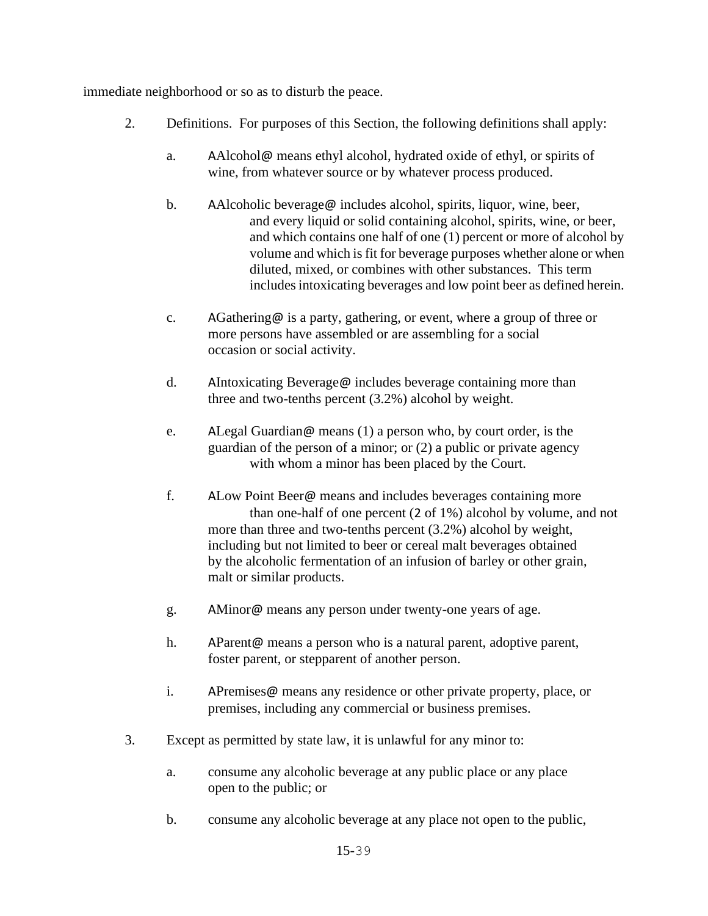immediate neighborhood or so as to disturb the peace.

- 2. Definitions. For purposes of this Section, the following definitions shall apply:
	- a. AAlcohol@ means ethyl alcohol, hydrated oxide of ethyl, or spirits of wine, from whatever source or by whatever process produced.
	- b. AAlcoholic beverage@ includes alcohol, spirits, liquor, wine, beer, and every liquid or solid containing alcohol, spirits, wine, or beer, and which contains one half of one (1) percent or more of alcohol by volume and which is fit for beverage purposes whether alone or when diluted, mixed, or combines with other substances. This term includes intoxicating beverages and low point beer as defined herein.
	- c. AGathering@ is a party, gathering, or event, where a group of three or more persons have assembled or are assembling for a social occasion or social activity.
	- d. AIntoxicating Beverage@ includes beverage containing more than three and two-tenths percent (3.2%) alcohol by weight.
	- e. ALegal Guardian@ means (1) a person who, by court order, is the guardian of the person of a minor; or (2) a public or private agency with whom a minor has been placed by the Court.
	- f. ALow Point Beer@ means and includes beverages containing more than one-half of one percent (2 of 1%) alcohol by volume, and not more than three and two-tenths percent (3.2%) alcohol by weight, including but not limited to beer or cereal malt beverages obtained by the alcoholic fermentation of an infusion of barley or other grain, malt or similar products.
	- g. AMinor@ means any person under twenty-one years of age.
	- h. AParent@ means a person who is a natural parent, adoptive parent, foster parent, or stepparent of another person.
	- i. APremises@ means any residence or other private property, place, or premises, including any commercial or business premises.
- 3. Except as permitted by state law, it is unlawful for any minor to:
	- a. consume any alcoholic beverage at any public place or any place open to the public; or
	- b. consume any alcoholic beverage at any place not open to the public,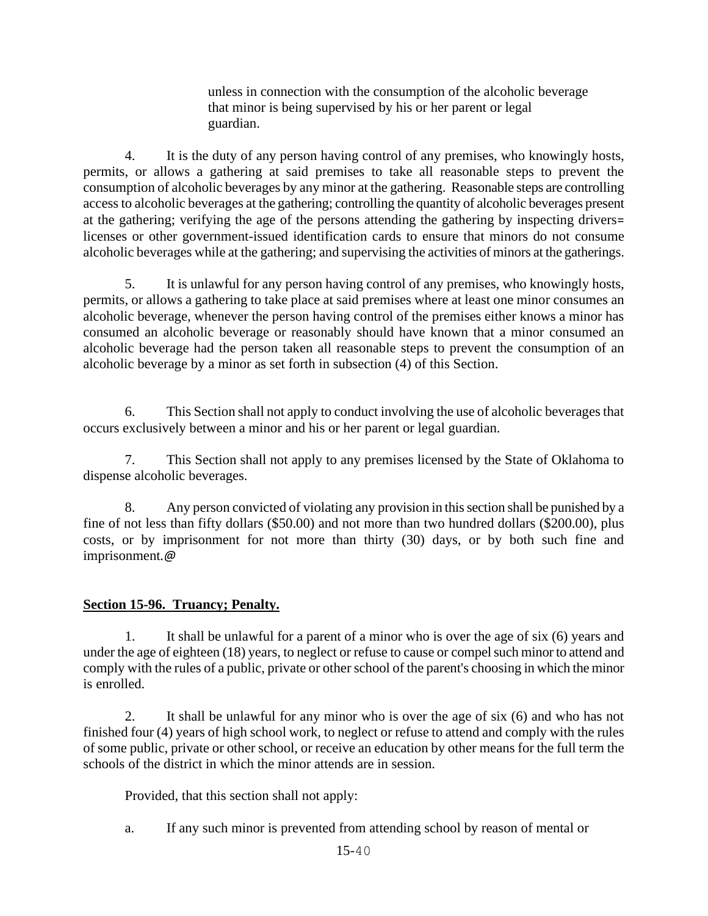unless in connection with the consumption of the alcoholic beverage that minor is being supervised by his or her parent or legal guardian.

4. It is the duty of any person having control of any premises, who knowingly hosts, permits, or allows a gathering at said premises to take all reasonable steps to prevent the consumption of alcoholic beverages by any minor at the gathering. Reasonable steps are controlling access to alcoholic beverages at the gathering; controlling the quantity of alcoholic beverages present at the gathering; verifying the age of the persons attending the gathering by inspecting drivers= licenses or other government-issued identification cards to ensure that minors do not consume alcoholic beverages while at the gathering; and supervising the activities of minors at the gatherings.

5. It is unlawful for any person having control of any premises, who knowingly hosts, permits, or allows a gathering to take place at said premises where at least one minor consumes an alcoholic beverage, whenever the person having control of the premises either knows a minor has consumed an alcoholic beverage or reasonably should have known that a minor consumed an alcoholic beverage had the person taken all reasonable steps to prevent the consumption of an alcoholic beverage by a minor as set forth in subsection (4) of this Section.

6. This Section shall not apply to conduct involving the use of alcoholic beverages that occurs exclusively between a minor and his or her parent or legal guardian.

7. This Section shall not apply to any premises licensed by the State of Oklahoma to dispense alcoholic beverages.

8. Any person convicted of violating any provision in this section shall be punished by a fine of not less than fifty dollars (\$50.00) and not more than two hundred dollars (\$200.00), plus costs, or by imprisonment for not more than thirty (30) days, or by both such fine and imprisonment*.@*

### **Section 15-96. Truancy; Penalty.**

1. It shall be unlawful for a parent of a minor who is over the age of six (6) years and under the age of eighteen (18) years, to neglect or refuse to cause or compel such minor to attend and comply with the rules of a public, private or other school of the parent's choosing in which the minor is enrolled.

2. It shall be unlawful for any minor who is over the age of six (6) and who has not finished four (4) years of high school work, to neglect or refuse to attend and comply with the rules of some public, private or other school, or receive an education by other means for the full term the schools of the district in which the minor attends are in session.

Provided, that this section shall not apply:

a. If any such minor is prevented from attending school by reason of mental or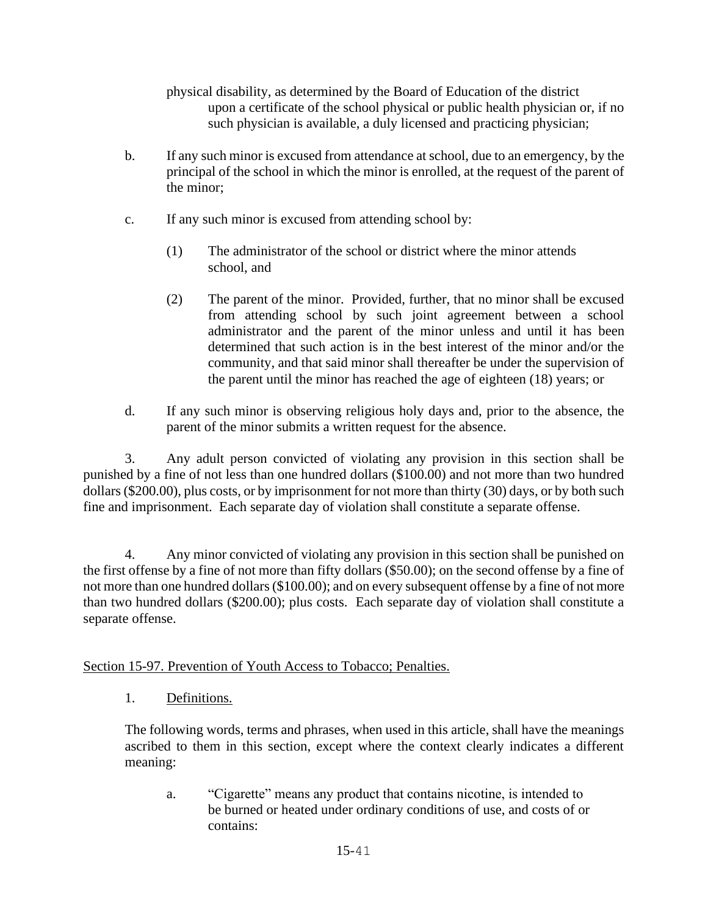physical disability, as determined by the Board of Education of the district upon a certificate of the school physical or public health physician or, if no such physician is available, a duly licensed and practicing physician;

- b. If any such minor is excused from attendance at school, due to an emergency, by the principal of the school in which the minor is enrolled, at the request of the parent of the minor;
- c. If any such minor is excused from attending school by:
	- (1) The administrator of the school or district where the minor attends school, and
	- (2) The parent of the minor. Provided, further, that no minor shall be excused from attending school by such joint agreement between a school administrator and the parent of the minor unless and until it has been determined that such action is in the best interest of the minor and/or the community, and that said minor shall thereafter be under the supervision of the parent until the minor has reached the age of eighteen (18) years; or
- d. If any such minor is observing religious holy days and, prior to the absence, the parent of the minor submits a written request for the absence.

3. Any adult person convicted of violating any provision in this section shall be punished by a fine of not less than one hundred dollars (\$100.00) and not more than two hundred dollars (\$200.00), plus costs, or by imprisonment for not more than thirty (30) days, or by both such fine and imprisonment. Each separate day of violation shall constitute a separate offense.

4. Any minor convicted of violating any provision in this section shall be punished on the first offense by a fine of not more than fifty dollars (\$50.00); on the second offense by a fine of not more than one hundred dollars (\$100.00); and on every subsequent offense by a fine of not more than two hundred dollars (\$200.00); plus costs. Each separate day of violation shall constitute a separate offense.

## Section 15-97. Prevention of Youth Access to Tobacco; Penalties.

1. Definitions.

The following words, terms and phrases, when used in this article, shall have the meanings ascribed to them in this section, except where the context clearly indicates a different meaning:

a. "Cigarette" means any product that contains nicotine, is intended to be burned or heated under ordinary conditions of use, and costs of or contains: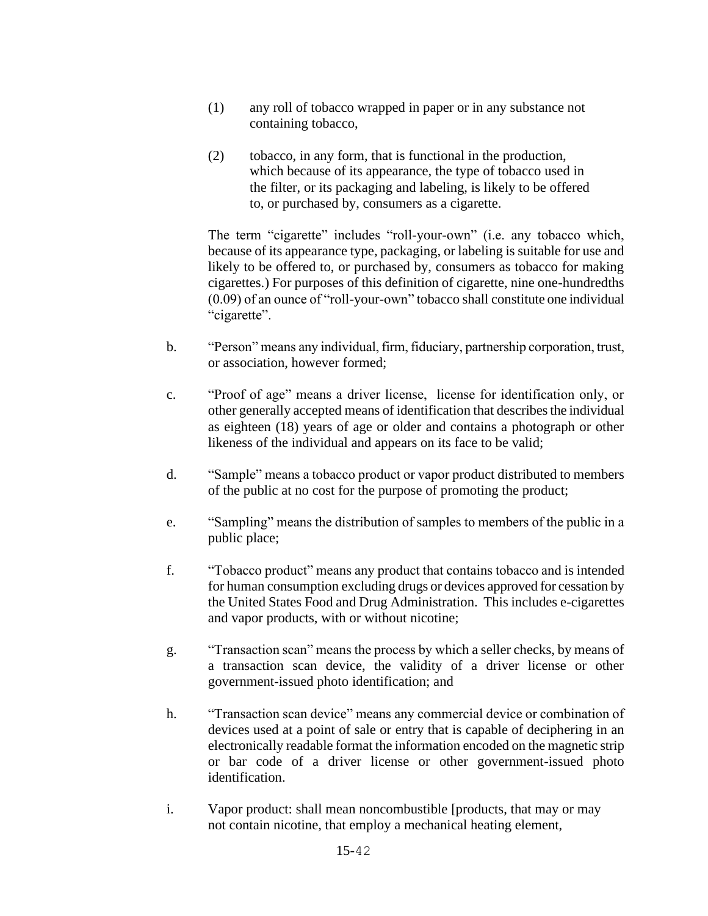- (1) any roll of tobacco wrapped in paper or in any substance not containing tobacco,
- (2) tobacco, in any form, that is functional in the production, which because of its appearance, the type of tobacco used in the filter, or its packaging and labeling, is likely to be offered to, or purchased by, consumers as a cigarette.

The term "cigarette" includes "roll-your-own" (i.e. any tobacco which, because of its appearance type, packaging, or labeling is suitable for use and likely to be offered to, or purchased by, consumers as tobacco for making cigarettes.) For purposes of this definition of cigarette, nine one-hundredths (0.09) of an ounce of "roll-your-own" tobacco shall constitute one individual "cigarette".

- b. "Person" means any individual, firm, fiduciary, partnership corporation, trust, or association, however formed;
- c. "Proof of age" means a driver license, license for identification only, or other generally accepted means of identification that describes the individual as eighteen (18) years of age or older and contains a photograph or other likeness of the individual and appears on its face to be valid;
- d. "Sample" means a tobacco product or vapor product distributed to members of the public at no cost for the purpose of promoting the product;
- e. "Sampling" means the distribution of samples to members of the public in a public place;
- f. "Tobacco product" means any product that contains tobacco and is intended for human consumption excluding drugs or devices approved for cessation by the United States Food and Drug Administration. This includes e-cigarettes and vapor products, with or without nicotine;
- g. "Transaction scan" means the process by which a seller checks, by means of a transaction scan device, the validity of a driver license or other government-issued photo identification; and
- h. "Transaction scan device" means any commercial device or combination of devices used at a point of sale or entry that is capable of deciphering in an electronically readable format the information encoded on the magnetic strip or bar code of a driver license or other government-issued photo identification.
- i. Vapor product: shall mean noncombustible [products, that may or may not contain nicotine, that employ a mechanical heating element,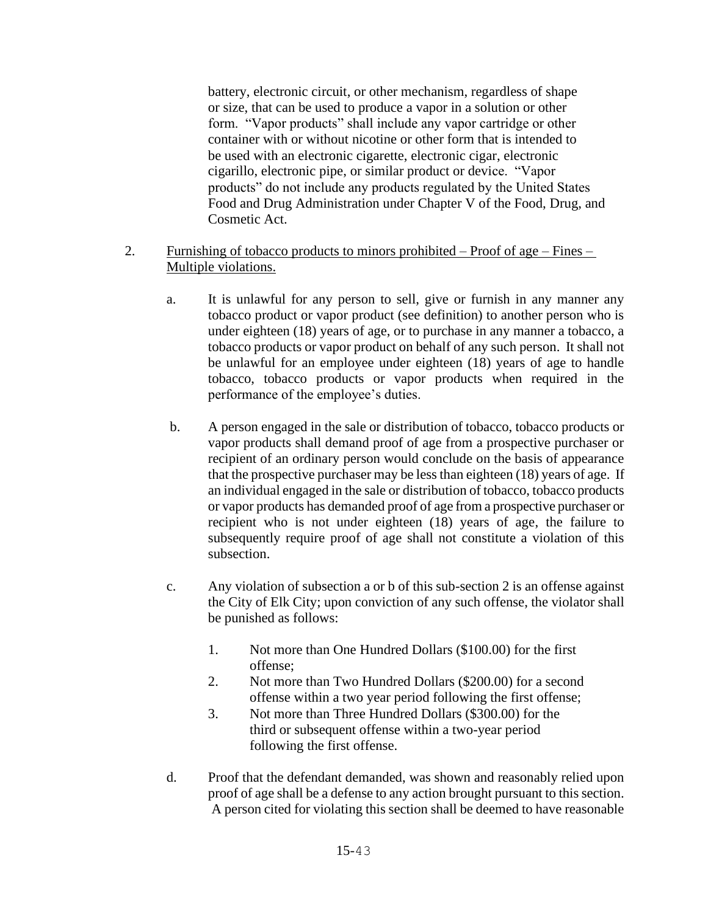battery, electronic circuit, or other mechanism, regardless of shape or size, that can be used to produce a vapor in a solution or other form. "Vapor products" shall include any vapor cartridge or other container with or without nicotine or other form that is intended to be used with an electronic cigarette, electronic cigar, electronic cigarillo, electronic pipe, or similar product or device. "Vapor products" do not include any products regulated by the United States Food and Drug Administration under Chapter V of the Food, Drug, and Cosmetic Act.

#### 2. Furnishing of tobacco products to minors prohibited – Proof of age – Fines – Multiple violations.

- a. It is unlawful for any person to sell, give or furnish in any manner any tobacco product or vapor product (see definition) to another person who is under eighteen (18) years of age, or to purchase in any manner a tobacco, a tobacco products or vapor product on behalf of any such person. It shall not be unlawful for an employee under eighteen (18) years of age to handle tobacco, tobacco products or vapor products when required in the performance of the employee's duties.
- b. A person engaged in the sale or distribution of tobacco, tobacco products or vapor products shall demand proof of age from a prospective purchaser or recipient of an ordinary person would conclude on the basis of appearance that the prospective purchaser may be less than eighteen (18) years of age. If an individual engaged in the sale or distribution of tobacco, tobacco products or vapor products has demanded proof of age from a prospective purchaser or recipient who is not under eighteen (18) years of age, the failure to subsequently require proof of age shall not constitute a violation of this subsection.
- c. Any violation of subsection a or b of this sub-section 2 is an offense against the City of Elk City; upon conviction of any such offense, the violator shall be punished as follows:
	- 1. Not more than One Hundred Dollars (\$100.00) for the first offense;
	- 2. Not more than Two Hundred Dollars (\$200.00) for a second offense within a two year period following the first offense;
	- 3. Not more than Three Hundred Dollars (\$300.00) for the third or subsequent offense within a two-year period following the first offense.
- d. Proof that the defendant demanded, was shown and reasonably relied upon proof of age shall be a defense to any action brought pursuant to this section. A person cited for violating this section shall be deemed to have reasonable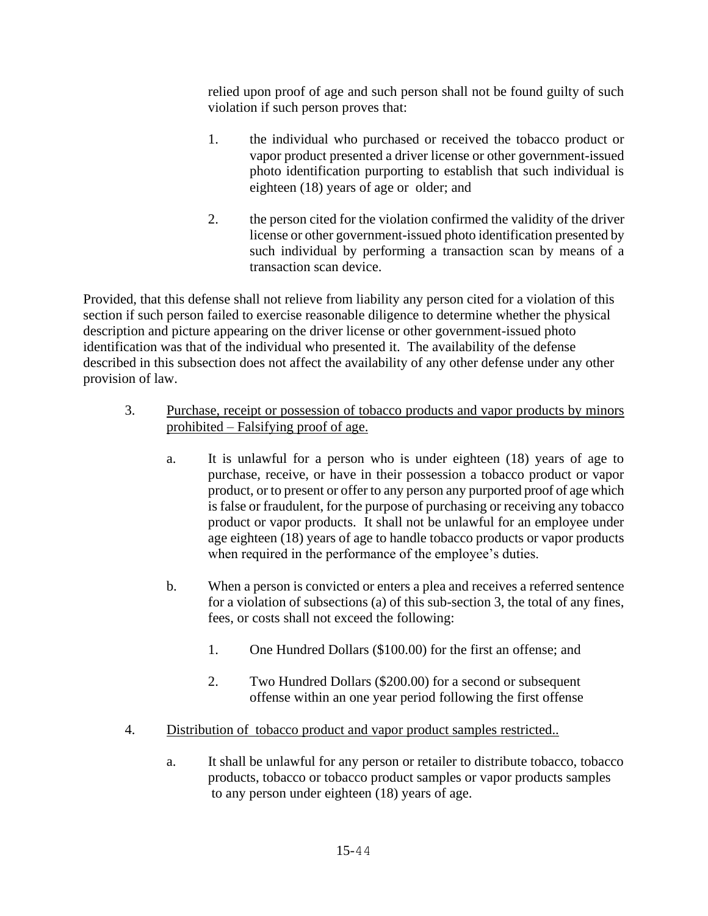relied upon proof of age and such person shall not be found guilty of such violation if such person proves that:

- 1. the individual who purchased or received the tobacco product or vapor product presented a driver license or other government-issued photo identification purporting to establish that such individual is eighteen (18) years of age or older; and
- 2. the person cited for the violation confirmed the validity of the driver license or other government-issued photo identification presented by such individual by performing a transaction scan by means of a transaction scan device.

Provided, that this defense shall not relieve from liability any person cited for a violation of this section if such person failed to exercise reasonable diligence to determine whether the physical description and picture appearing on the driver license or other government-issued photo identification was that of the individual who presented it. The availability of the defense described in this subsection does not affect the availability of any other defense under any other provision of law.

- 3. Purchase, receipt or possession of tobacco products and vapor products by minors prohibited – Falsifying proof of age.
	- a. It is unlawful for a person who is under eighteen (18) years of age to purchase, receive, or have in their possession a tobacco product or vapor product, or to present or offer to any person any purported proof of age which is false or fraudulent, for the purpose of purchasing or receiving any tobacco product or vapor products. It shall not be unlawful for an employee under age eighteen (18) years of age to handle tobacco products or vapor products when required in the performance of the employee's duties.
	- b. When a person is convicted or enters a plea and receives a referred sentence for a violation of subsections (a) of this sub-section 3, the total of any fines, fees, or costs shall not exceed the following:
		- 1. One Hundred Dollars (\$100.00) for the first an offense; and
		- 2. Two Hundred Dollars (\$200.00) for a second or subsequent offense within an one year period following the first offense
- 4. Distribution of tobacco product and vapor product samples restricted..
	- a. It shall be unlawful for any person or retailer to distribute tobacco, tobacco products, tobacco or tobacco product samples or vapor products samples to any person under eighteen (18) years of age.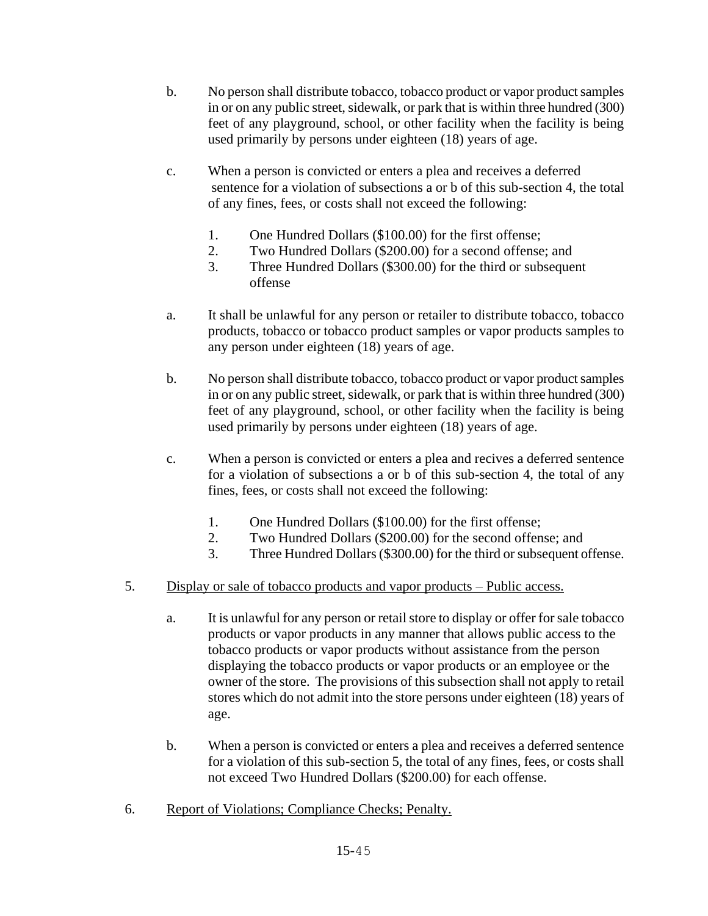- b. No person shall distribute tobacco, tobacco product or vapor product samples in or on any public street, sidewalk, or park that is within three hundred (300) feet of any playground, school, or other facility when the facility is being used primarily by persons under eighteen (18) years of age.
- c. When a person is convicted or enters a plea and receives a deferred sentence for a violation of subsections a or b of this sub-section 4, the total of any fines, fees, or costs shall not exceed the following:
	- 1. One Hundred Dollars (\$100.00) for the first offense;
	- 2. Two Hundred Dollars (\$200.00) for a second offense; and
	- 3. Three Hundred Dollars (\$300.00) for the third or subsequent offense
- a. It shall be unlawful for any person or retailer to distribute tobacco, tobacco products, tobacco or tobacco product samples or vapor products samples to any person under eighteen (18) years of age.
- b. No person shall distribute tobacco, tobacco product or vapor product samples in or on any public street, sidewalk, or park that is within three hundred (300) feet of any playground, school, or other facility when the facility is being used primarily by persons under eighteen (18) years of age.
- c. When a person is convicted or enters a plea and recives a deferred sentence for a violation of subsections a or b of this sub-section 4, the total of any fines, fees, or costs shall not exceed the following:
	- 1. One Hundred Dollars (\$100.00) for the first offense;
	- 2. Two Hundred Dollars (\$200.00) for the second offense; and
	- 3. Three Hundred Dollars (\$300.00) for the third or subsequent offense.
- 5. Display or sale of tobacco products and vapor products Public access.
	- a. It is unlawful for any person or retail store to display or offer for sale tobacco products or vapor products in any manner that allows public access to the tobacco products or vapor products without assistance from the person displaying the tobacco products or vapor products or an employee or the owner of the store. The provisions of this subsection shall not apply to retail stores which do not admit into the store persons under eighteen (18) years of age.
	- b. When a person is convicted or enters a plea and receives a deferred sentence for a violation of this sub-section 5, the total of any fines, fees, or costs shall not exceed Two Hundred Dollars (\$200.00) for each offense.
- 6. Report of Violations; Compliance Checks; Penalty.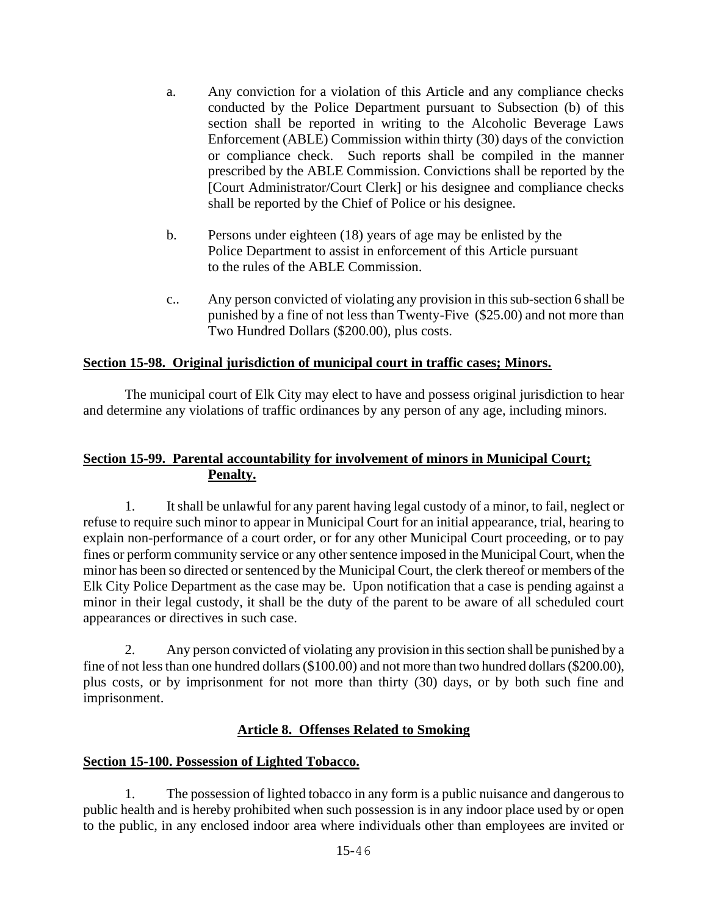- a. Any conviction for a violation of this Article and any compliance checks conducted by the Police Department pursuant to Subsection (b) of this section shall be reported in writing to the Alcoholic Beverage Laws Enforcement (ABLE) Commission within thirty (30) days of the conviction or compliance check. Such reports shall be compiled in the manner prescribed by the ABLE Commission. Convictions shall be reported by the [Court Administrator/Court Clerk] or his designee and compliance checks shall be reported by the Chief of Police or his designee.
- b. Persons under eighteen (18) years of age may be enlisted by the Police Department to assist in enforcement of this Article pursuant to the rules of the ABLE Commission.
- c.. Any person convicted of violating any provision in this sub-section 6 shall be punished by a fine of not less than Twenty-Five (\$25.00) and not more than Two Hundred Dollars (\$200.00), plus costs.

## **Section 15-98. Original jurisdiction of municipal court in traffic cases; Minors.**

The municipal court of Elk City may elect to have and possess original jurisdiction to hear and determine any violations of traffic ordinances by any person of any age, including minors.

## **Section 15-99. Parental accountability for involvement of minors in Municipal Court; Penalty.**

1. It shall be unlawful for any parent having legal custody of a minor, to fail, neglect or refuse to require such minor to appear in Municipal Court for an initial appearance, trial, hearing to explain non-performance of a court order, or for any other Municipal Court proceeding, or to pay fines or perform community service or any other sentence imposed in the Municipal Court, when the minor has been so directed or sentenced by the Municipal Court, the clerk thereof or members of the Elk City Police Department as the case may be. Upon notification that a case is pending against a minor in their legal custody, it shall be the duty of the parent to be aware of all scheduled court appearances or directives in such case.

2. Any person convicted of violating any provision in this section shall be punished by a fine of not less than one hundred dollars (\$100.00) and not more than two hundred dollars (\$200.00), plus costs, or by imprisonment for not more than thirty (30) days, or by both such fine and imprisonment.

### **Article 8. Offenses Related to Smoking**

### **Section 15-100. Possession of Lighted Tobacco.**

1. The possession of lighted tobacco in any form is a public nuisance and dangerous to public health and is hereby prohibited when such possession is in any indoor place used by or open to the public, in any enclosed indoor area where individuals other than employees are invited or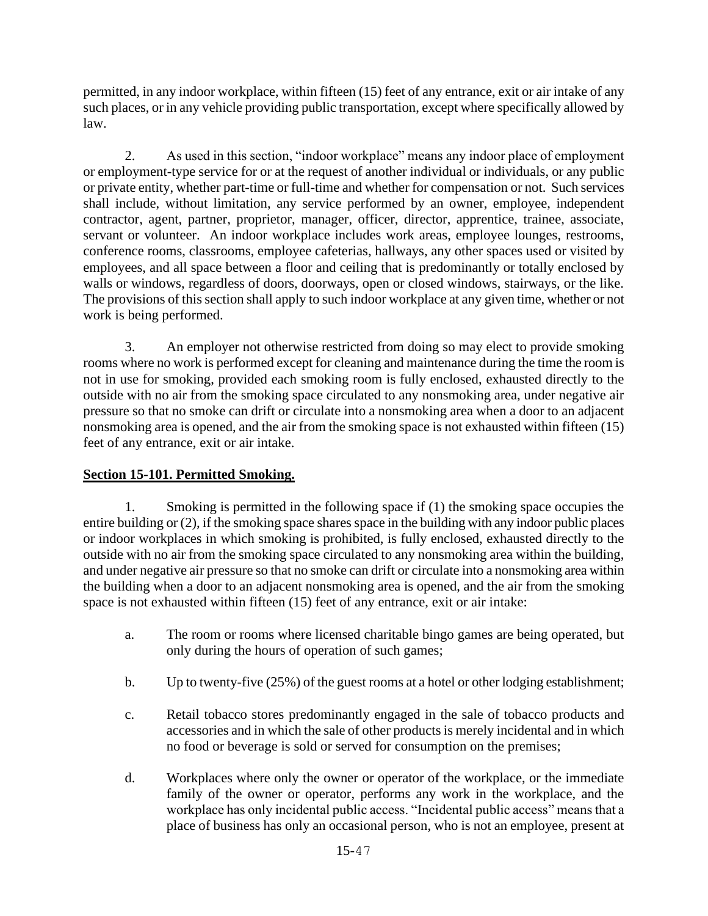permitted, in any indoor workplace, within fifteen (15) feet of any entrance, exit or air intake of any such places, or in any vehicle providing public transportation, except where specifically allowed by law.

2. As used in this section, "indoor workplace" means any indoor place of employment or employment-type service for or at the request of another individual or individuals, or any public or private entity, whether part-time or full-time and whether for compensation or not. Such services shall include, without limitation, any service performed by an owner, employee, independent contractor, agent, partner, proprietor, manager, officer, director, apprentice, trainee, associate, servant or volunteer. An indoor workplace includes work areas, employee lounges, restrooms, conference rooms, classrooms, employee cafeterias, hallways, any other spaces used or visited by employees, and all space between a floor and ceiling that is predominantly or totally enclosed by walls or windows, regardless of doors, doorways, open or closed windows, stairways, or the like. The provisions of this section shall apply to such indoor workplace at any given time, whether or not work is being performed.

3. An employer not otherwise restricted from doing so may elect to provide smoking rooms where no work is performed except for cleaning and maintenance during the time the room is not in use for smoking, provided each smoking room is fully enclosed, exhausted directly to the outside with no air from the smoking space circulated to any nonsmoking area, under negative air pressure so that no smoke can drift or circulate into a nonsmoking area when a door to an adjacent nonsmoking area is opened, and the air from the smoking space is not exhausted within fifteen (15) feet of any entrance, exit or air intake.

# **Section 15-101. Permitted Smoking.**

1. Smoking is permitted in the following space if (1) the smoking space occupies the entire building or (2), if the smoking space shares space in the building with any indoor public places or indoor workplaces in which smoking is prohibited, is fully enclosed, exhausted directly to the outside with no air from the smoking space circulated to any nonsmoking area within the building, and under negative air pressure so that no smoke can drift or circulate into a nonsmoking area within the building when a door to an adjacent nonsmoking area is opened, and the air from the smoking space is not exhausted within fifteen (15) feet of any entrance, exit or air intake:

- a. The room or rooms where licensed charitable bingo games are being operated, but only during the hours of operation of such games;
- b. Up to twenty-five (25%) of the guest rooms at a hotel or other lodging establishment;
- c. Retail tobacco stores predominantly engaged in the sale of tobacco products and accessories and in which the sale of other products is merely incidental and in which no food or beverage is sold or served for consumption on the premises;
- d. Workplaces where only the owner or operator of the workplace, or the immediate family of the owner or operator, performs any work in the workplace, and the workplace has only incidental public access. "Incidental public access" means that a place of business has only an occasional person, who is not an employee, present at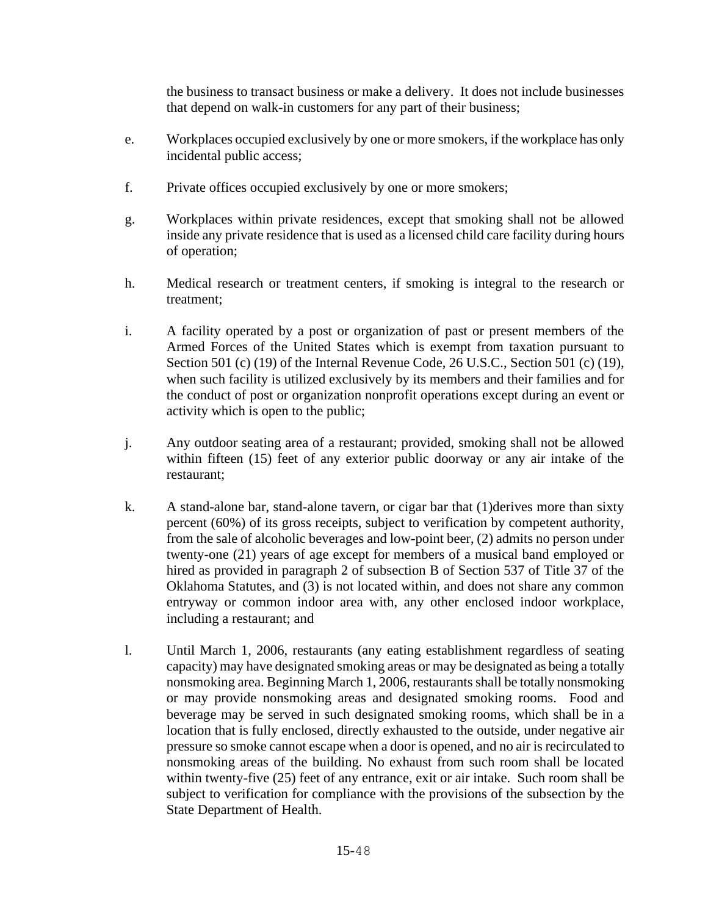the business to transact business or make a delivery. It does not include businesses that depend on walk-in customers for any part of their business;

- e. Workplaces occupied exclusively by one or more smokers, if the workplace has only incidental public access;
- f. Private offices occupied exclusively by one or more smokers;
- g. Workplaces within private residences, except that smoking shall not be allowed inside any private residence that is used as a licensed child care facility during hours of operation;
- h. Medical research or treatment centers, if smoking is integral to the research or treatment;
- i. A facility operated by a post or organization of past or present members of the Armed Forces of the United States which is exempt from taxation pursuant to Section 501 (c) (19) of the Internal Revenue Code, 26 U.S.C., Section 501 (c) (19), when such facility is utilized exclusively by its members and their families and for the conduct of post or organization nonprofit operations except during an event or activity which is open to the public;
- j. Any outdoor seating area of a restaurant; provided, smoking shall not be allowed within fifteen (15) feet of any exterior public doorway or any air intake of the restaurant;
- k. A stand-alone bar, stand-alone tavern, or cigar bar that (1)derives more than sixty percent (60%) of its gross receipts, subject to verification by competent authority, from the sale of alcoholic beverages and low-point beer, (2) admits no person under twenty-one (21) years of age except for members of a musical band employed or hired as provided in paragraph 2 of subsection B of Section 537 of Title 37 of the Oklahoma Statutes, and (3) is not located within, and does not share any common entryway or common indoor area with, any other enclosed indoor workplace, including a restaurant; and
- l. Until March 1, 2006, restaurants (any eating establishment regardless of seating capacity) may have designated smoking areas or may be designated as being a totally nonsmoking area. Beginning March 1, 2006, restaurants shall be totally nonsmoking or may provide nonsmoking areas and designated smoking rooms. Food and beverage may be served in such designated smoking rooms, which shall be in a location that is fully enclosed, directly exhausted to the outside, under negative air pressure so smoke cannot escape when a door is opened, and no air is recirculated to nonsmoking areas of the building. No exhaust from such room shall be located within twenty-five (25) feet of any entrance, exit or air intake. Such room shall be subject to verification for compliance with the provisions of the subsection by the State Department of Health.